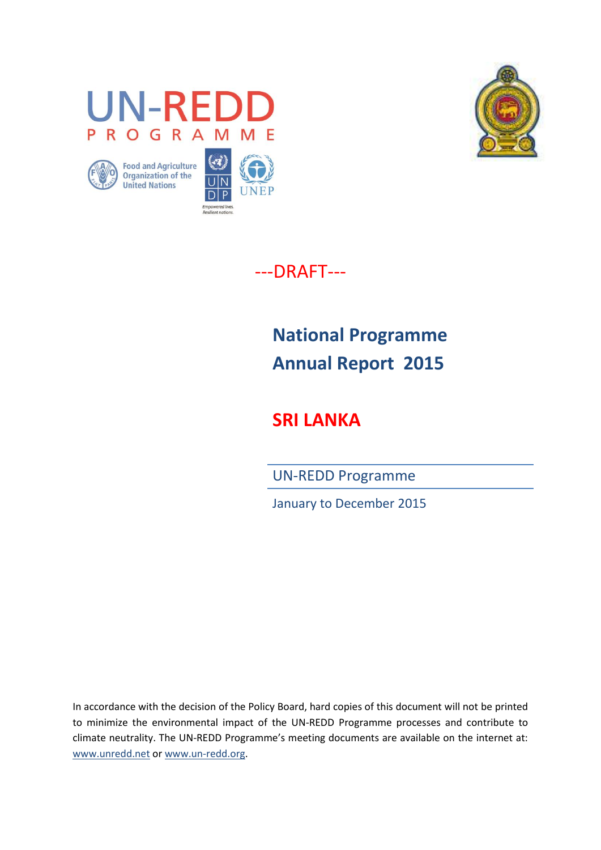









---DRAFT---

# **National Programme Annual Report 2015**

**SRI LANKA**

UN-REDD Programme

January to December 2015

In accordance with the decision of the Policy Board, hard copies of this document will not be printed to minimize the environmental impact of the UN-REDD Programme processes and contribute to climate neutrality. The UN-REDD Programme's meeting documents are available on the internet at: [www.unredd.net](http://www.unredd.net/) or [www.un-redd.org.](http://www.un-redd.org/)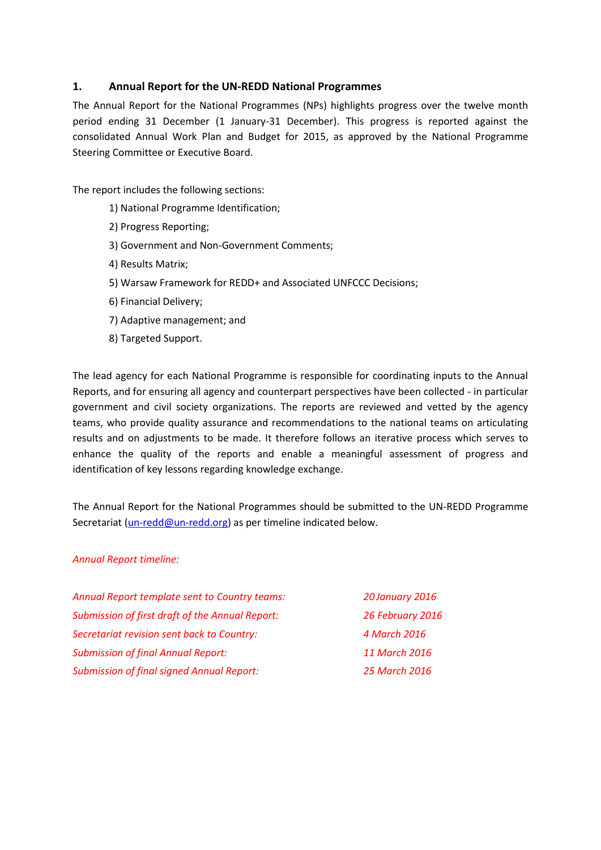# **1. Annual Report for the UN-REDD National Programmes**

The Annual Report for the National Programmes (NPs) highlights progress over the twelve month period ending 31 December (1 January-31 December). This progress is reported against the consolidated Annual Work Plan and Budget for 2015, as approved by the National Programme Steering Committee or Executive Board.

The report includes the following sections:

- 1[\) National Programme Identification;](#page-2-0)
- 2) Progress [Reporting;](#page-4-0)
- 3) Government and Non-Government Comments;
- 4[\) Results Matrix;](#page-8-0)
- 5[\) Warsaw Framework for REDD+ and Associated UNFCCC Decisions;](#page-18-0)
- 6[\) Financial Delivery;](#page-25-0)
- 7[\) Adaptive management;](#page-26-0) and
- 8[\) Targeted Support.](#page-28-0)

The lead agency for each National Programme is responsible for coordinating inputs to the Annual Reports, and for ensuring all agency and counterpart perspectives have been collected - in particular government and civil society organizations. The reports are reviewed and vetted by the agency teams, who provide quality assurance and recommendations to the national teams on articulating results and on adjustments to be made. It therefore follows an iterative process which serves to enhance the quality of the reports and enable a meaningful assessment of progress and identification of key lessons regarding knowledge exchange.

The Annual Report for the National Programmes should be submitted to the UN-REDD Programme Secretariat [\(un-redd@un-redd.org\)](mailto:un-redd@un-redd.org) as per timeline indicated below.

#### *Annual Report timeline:*

| Annual Report template sent to Country teams:    | 20 January 2016  |
|--------------------------------------------------|------------------|
| Submission of first draft of the Annual Report:  | 26 February 2016 |
| Secretariat revision sent back to Country:       | 4 March 2016     |
| <b>Submission of final Annual Report:</b>        | 11 March 2016    |
| <b>Submission of final signed Annual Report:</b> | 25 March 2016    |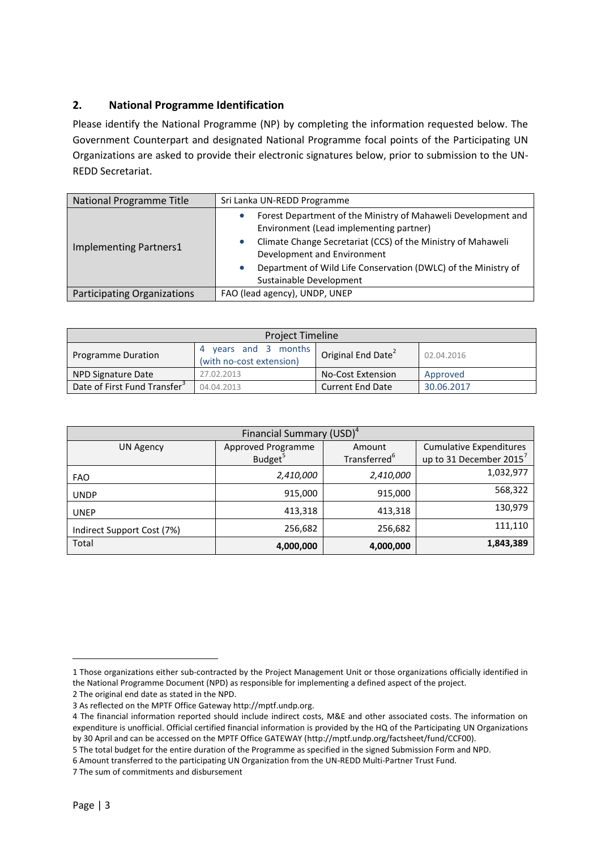# <span id="page-2-0"></span>**2. National Programme Identification**

Please identify the National Programme (NP) by completing the information requested below. The Government Counterpart and designated National Programme focal points of the Participating UN Organizations are asked to provide their electronic signatures below, prior to submission to the UN-REDD Secretariat.

| National Programme Title      | Sri Lanka UN-REDD Programme                                                                                                                                                                                                                                               |
|-------------------------------|---------------------------------------------------------------------------------------------------------------------------------------------------------------------------------------------------------------------------------------------------------------------------|
| <b>Implementing Partners1</b> | Forest Department of the Ministry of Mahaweli Development and<br>Environment (Lead implementing partner)<br>Climate Change Secretariat (CCS) of the Ministry of Mahaweli<br>Development and Environment<br>Department of Wild Life Conservation (DWLC) of the Ministry of |
|                               | Sustainable Development                                                                                                                                                                                                                                                   |
| Participating Organizations   | FAO (lead agency), UNDP, UNEP                                                                                                                                                                                                                                             |

| <b>Project Timeline</b>                                                                                                     |            |                          |            |
|-----------------------------------------------------------------------------------------------------------------------------|------------|--------------------------|------------|
| vears and 3 months<br>Original End Date <sup>2</sup><br>02.04.2016<br><b>Programme Duration</b><br>(with no-cost extension) |            |                          |            |
| NPD Signature Date                                                                                                          | 27.02.2013 | <b>No-Cost Extension</b> | Approved   |
| Date of First Fund Transfer <sup>3</sup>                                                                                    | 04.04.2013 | Current End Date         | 30.06.2017 |

| Financial Summary (USD) <sup>4</sup> |                           |                          |                                     |  |
|--------------------------------------|---------------------------|--------------------------|-------------------------------------|--|
| <b>UN Agency</b>                     | <b>Approved Programme</b> | Amount                   | <b>Cumulative Expenditures</b>      |  |
|                                      | Budget <sup>5</sup>       | Transferred <sup>6</sup> | up to 31 December 2015 <sup>7</sup> |  |
| <b>FAO</b>                           | 2,410,000                 | 2,410,000                | 1,032,977                           |  |
| <b>UNDP</b>                          | 915,000                   | 915,000                  | 568,322                             |  |
| <b>UNEP</b>                          | 413,318                   | 413,318                  | 130,979                             |  |
| Indirect Support Cost (7%)           | 256,682                   | 256,682                  | 111,110                             |  |
| Total                                | 4,000,000                 | 4,000,000                | 1,843,389                           |  |

**.** 

<sup>1</sup> Those organizations either sub-contracted by the Project Management Unit or those organizations officially identified in the National Programme Document (NPD) as responsible for implementing a defined aspect of the project. 2 The original end date as stated in the NPD.

<sup>3</sup> As reflected on the MPTF Office Gateway http://mptf.undp.org.

<sup>4</sup> The financial information reported should include indirect costs, M&E and other associated costs. The information on expenditure is unofficial. Official certified financial information is provided by the HQ of the Participating UN Organizations by 30 April and can be accessed on the MPTF Office GATEWAY [\(http://mptf.undp.org/factsheet/fund/CCF00\)](http://mptf.undp.org/factsheet/fund/CCF00).

<sup>5</sup> The total budget for the entire duration of the Programme as specified in the signed Submission Form and NPD.

<sup>6</sup> Amount transferred to the participating UN Organization from the UN-REDD Multi-Partner Trust Fund.

<sup>7</sup> The sum of commitments and disbursement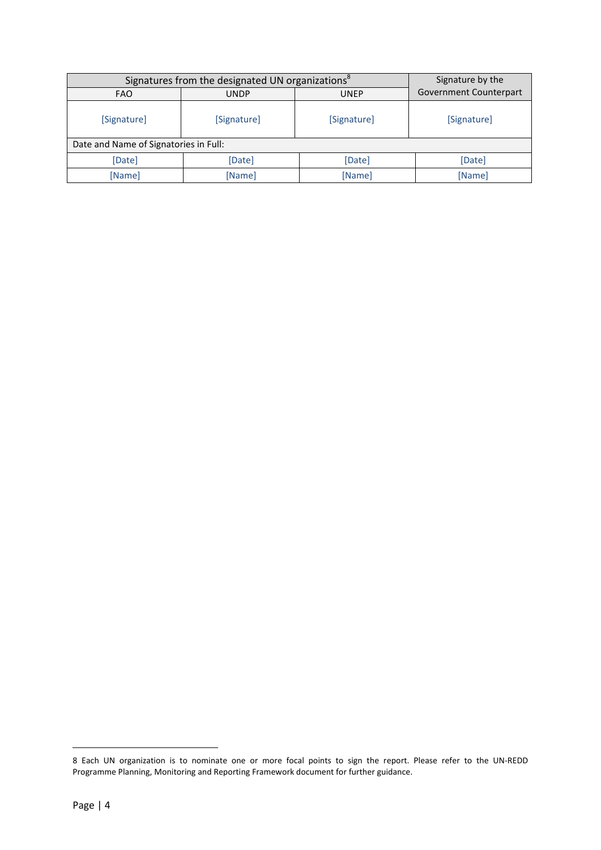| Signatures from the designated UN organizations <sup>8</sup> |             |             | Signature by the       |
|--------------------------------------------------------------|-------------|-------------|------------------------|
| <b>FAO</b>                                                   | <b>UNDP</b> | <b>UNEP</b> | Government Counterpart |
| [Signature]                                                  | [Signature] | [Signature] | [Signature]            |
| Date and Name of Signatories in Full:                        |             |             |                        |
| [Date]                                                       | [Date]      | [Date]      | [Date]                 |
| [Name]                                                       | [Name]      | [Name]      | [Name]                 |

1

<sup>8</sup> Each UN organization is to nominate one or more focal points to sign the report. Please refer to the UN-REDD Programme Planning, Monitoring and Reporting Framework document for further guidance.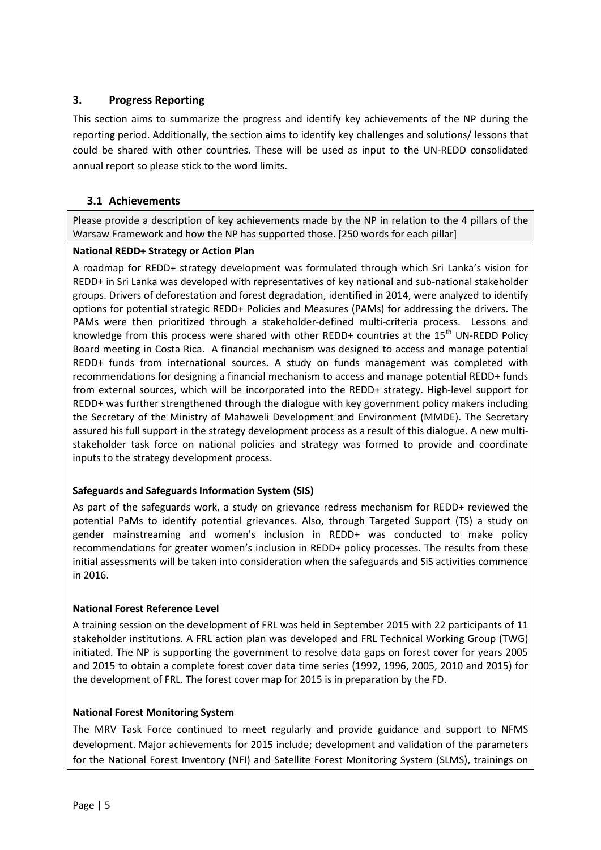# <span id="page-4-0"></span>**3. Progress Reporting**

This section aims to summarize the progress and identify key achievements of the NP during the reporting period. Additionally, the section aims to identify key challenges and solutions/ lessons that could be shared with other countries. These will be used as input to the UN-REDD consolidated annual report so please stick to the word limits.

# **3.1 Achievements**

Please provide a description of key achievements made by the NP in relation to the 4 pillars of the Warsaw Framework and how the NP has supported those. [250 words for each pillar]

# **National REDD+ Strategy or Action Plan**

A roadmap for REDD+ strategy development was formulated through which Sri Lanka's vision for REDD+ in Sri Lanka was developed with representatives of key national and sub-national stakeholder groups. Drivers of deforestation and forest degradation, identified in 2014, were analyzed to identify options for potential strategic REDD+ Policies and Measures (PAMs) for addressing the drivers. The PAMs were then prioritized through a stakeholder-defined multi-criteria process. Lessons and knowledge from this process were shared with other REDD+ countries at the  $15<sup>th</sup>$  UN-REDD Policy Board meeting in Costa Rica. A financial mechanism was designed to access and manage potential REDD+ funds from international sources. A study on funds management was completed with recommendations for designing a financial mechanism to access and manage potential REDD+ funds from external sources, which will be incorporated into the REDD+ strategy. High-level support for REDD+ was further strengthened through the dialogue with key government policy makers including the Secretary of the Ministry of Mahaweli Development and Environment (MMDE). The Secretary assured his full support in the strategy development process as a result of this dialogue. A new multistakeholder task force on national policies and strategy was formed to provide and coordinate inputs to the strategy development process.

# **Safeguards and Safeguards Information System (SIS)**

As part of the safeguards work, a study on grievance redress mechanism for REDD+ reviewed the potential PaMs to identify potential grievances. Also, through Targeted Support (TS) a study on gender mainstreaming and women's inclusion in REDD+ was conducted to make policy recommendations for greater women's inclusion in REDD+ policy processes. The results from these initial assessments will be taken into consideration when the safeguards and SiS activities commence in 2016.

#### **National Forest Reference Level**

A training session on the development of FRL was held in September 2015 with 22 participants of 11 stakeholder institutions. A FRL action plan was developed and FRL Technical Working Group (TWG) initiated. The NP is supporting the government to resolve data gaps on forest cover for years 2005 and 2015 to obtain a complete forest cover data time series (1992, 1996, 2005, 2010 and 2015) for the development of FRL. The forest cover map for 2015 is in preparation by the FD.

# **National Forest Monitoring System**

The MRV Task Force continued to meet regularly and provide guidance and support to NFMS development. Major achievements for 2015 include; development and validation of the parameters for the National Forest Inventory (NFI) and Satellite Forest Monitoring System (SLMS), trainings on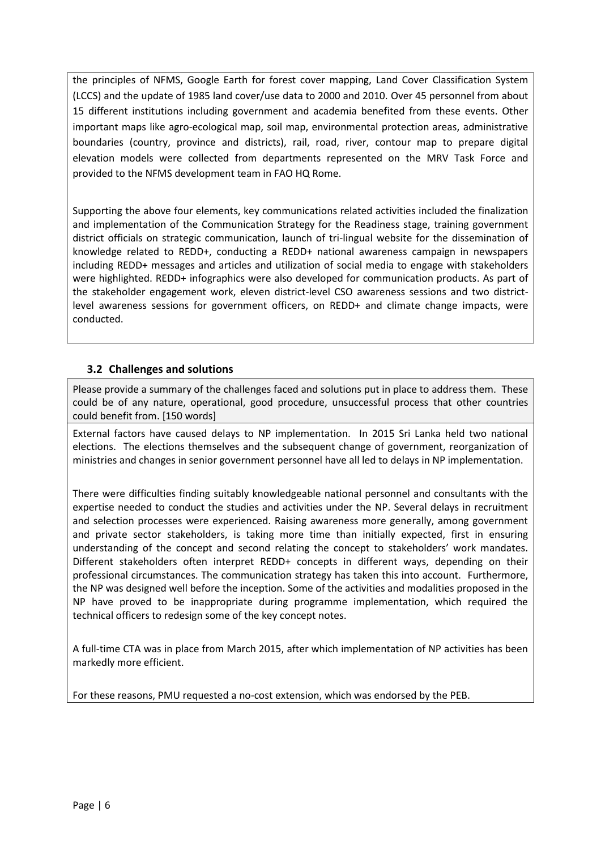the principles of NFMS, Google Earth for forest cover mapping, Land Cover Classification System (LCCS) and the update of 1985 land cover/use data to 2000 and 2010. Over 45 personnel from about 15 different institutions including government and academia benefited from these events. Other important maps like agro-ecological map, soil map, environmental protection areas, administrative boundaries (country, province and districts), rail, road, river, contour map to prepare digital elevation models were collected from departments represented on the MRV Task Force and provided to the NFMS development team in FAO HQ Rome.

Supporting the above four elements, key communications related activities included the finalization and implementation of the Communication Strategy for the Readiness stage, training government district officials on strategic communication, launch of tri-lingual website for the dissemination of knowledge related to REDD+, conducting a REDD+ national awareness campaign in newspapers including REDD+ messages and articles and utilization of social media to engage with stakeholders were highlighted. REDD+ infographics were also developed for communication products. As part of the stakeholder engagement work, eleven district-level CSO awareness sessions and two districtlevel awareness sessions for government officers, on REDD+ and climate change impacts, were conducted.

# **3.2 Challenges and solutions**

Please provide a summary of the challenges faced and solutions put in place to address them. These could be of any nature, operational, good procedure, unsuccessful process that other countries could benefit from. [150 words]

External factors have caused delays to NP implementation. In 2015 Sri Lanka held two national elections. The elections themselves and the subsequent change of government, reorganization of ministries and changes in senior government personnel have all led to delays in NP implementation.

There were difficulties finding suitably knowledgeable national personnel and consultants with the expertise needed to conduct the studies and activities under the NP. Several delays in recruitment and selection processes were experienced. Raising awareness more generally, among government and private sector stakeholders, is taking more time than initially expected, first in ensuring understanding of the concept and second relating the concept to stakeholders' work mandates. Different stakeholders often interpret REDD+ concepts in different ways, depending on their professional circumstances. The communication strategy has taken this into account. Furthermore, the NP was designed well before the inception. Some of the activities and modalities proposed in the NP have proved to be inappropriate during programme implementation, which required the technical officers to redesign some of the key concept notes.

A full-time CTA was in place from March 2015, after which implementation of NP activities has been markedly more efficient.

For these reasons, PMU requested a no-cost extension, which was endorsed by the PEB.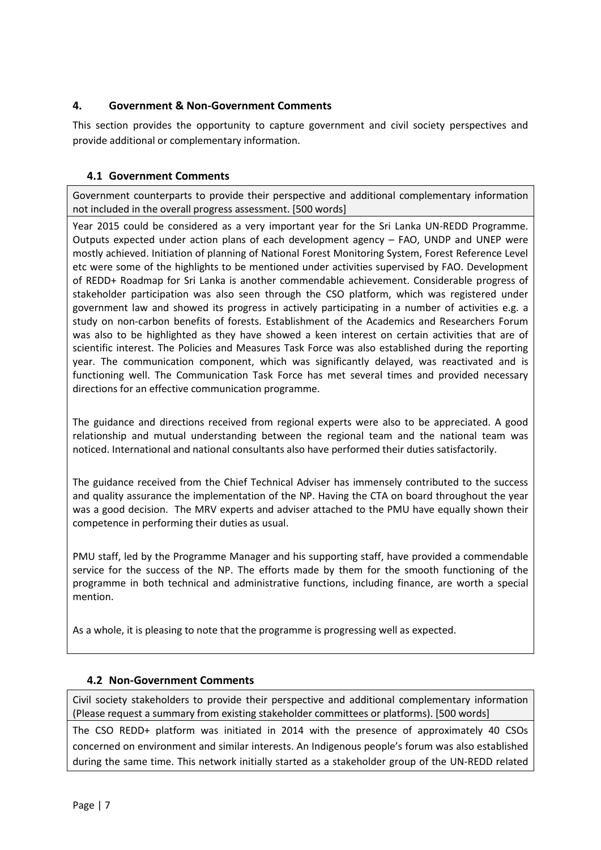# **4. Government & Non-Government Comments**

This section provides the opportunity to capture government and civil society perspectives and provide additional or complementary information.

# **4.1 Government Comments**

Government counterparts to provide their perspective and additional complementary information not included in the overall progress assessment. [500 words]

Year 2015 could be considered as a very important year for the Sri Lanka UN-REDD Programme. Outputs expected under action plans of each development agency – FAO, UNDP and UNEP were mostly achieved. Initiation of planning of National Forest Monitoring System, Forest Reference Level etc were some of the highlights to be mentioned under activities supervised by FAO. Development of REDD+ Roadmap for Sri Lanka is another commendable achievement. Considerable progress of stakeholder participation was also seen through the CSO platform, which was registered under government law and showed its progress in actively participating in a number of activities e.g. a study on non-carbon benefits of forests. Establishment of the Academics and Researchers Forum was also to be highlighted as they have showed a keen interest on certain activities that are of scientific interest. The Policies and Measures Task Force was also established during the reporting year. The communication component, which was significantly delayed, was reactivated and is functioning well. The Communication Task Force has met several times and provided necessary directions for an effective communication programme.

The guidance and directions received from regional experts were also to be appreciated. A good relationship and mutual understanding between the regional team and the national team was noticed. International and national consultants also have performed their duties satisfactorily.

The guidance received from the Chief Technical Adviser has immensely contributed to the success and quality assurance the implementation of the NP. Having the CTA on board throughout the year was a good decision. The MRV experts and adviser attached to the PMU have equally shown their competence in performing their duties as usual.

PMU staff, led by the Programme Manager and his supporting staff, have provided a commendable service for the success of the NP. The efforts made by them for the smooth functioning of the programme in both technical and administrative functions, including finance, are worth a special mention.

As a whole, it is pleasing to note that the programme is progressing well as expected.

# **4.2 Non-Government Comments**

Civil society stakeholders to provide their perspective and additional complementary information (Please request a summary from existing stakeholder committees or platforms). [500 words]

The CSO REDD+ platform was initiated in 2014 with the presence of approximately 40 CSOs concerned on environment and similar interests. An Indigenous people's forum was also established during the same time. This network initially started as a stakeholder group of the UN-REDD related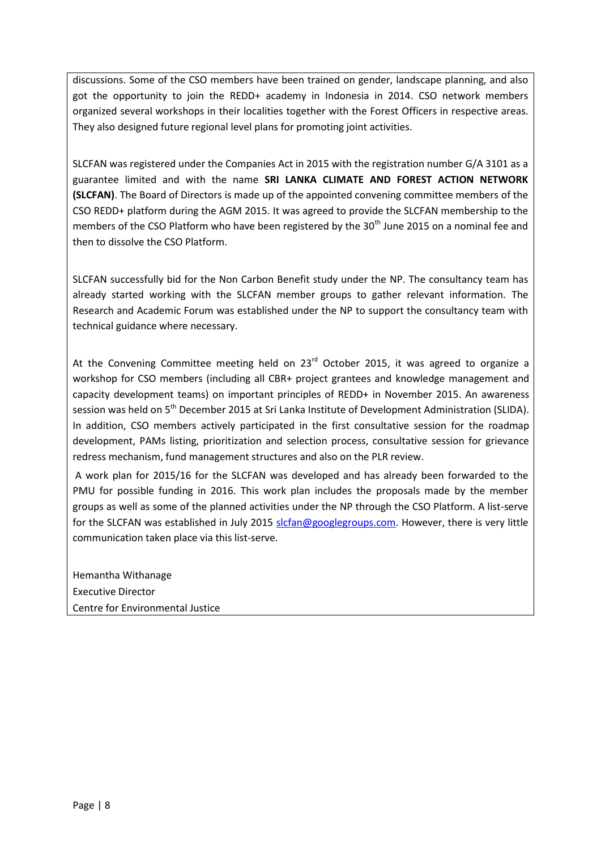discussions. Some of the CSO members have been trained on gender, landscape planning, and also got the opportunity to join the REDD+ academy in Indonesia in 2014. CSO network members organized several workshops in their localities together with the Forest Officers in respective areas. They also designed future regional level plans for promoting joint activities.

SLCFAN was registered under the Companies Act in 2015 with the registration number G/A 3101 as a guarantee limited and with the name **SRI LANKA CLIMATE AND FOREST ACTION NETWORK (SLCFAN)**. The Board of Directors is made up of the appointed convening committee members of the CSO REDD+ platform during the AGM 2015. It was agreed to provide the SLCFAN membership to the members of the CSO Platform who have been registered by the 30<sup>th</sup> June 2015 on a nominal fee and then to dissolve the CSO Platform.

SLCFAN successfully bid for the Non Carbon Benefit study under the NP. The consultancy team has already started working with the SLCFAN member groups to gather relevant information. The Research and Academic Forum was established under the NP to support the consultancy team with technical guidance where necessary.

At the Convening Committee meeting held on  $23<sup>rd</sup>$  October 2015, it was agreed to organize a workshop for CSO members (including all CBR+ project grantees and knowledge management and capacity development teams) on important principles of REDD+ in November 2015. An awareness session was held on 5<sup>th</sup> December 2015 at Sri Lanka Institute of Development Administration (SLIDA). In addition, CSO members actively participated in the first consultative session for the roadmap development, PAMs listing, prioritization and selection process, consultative session for grievance redress mechanism, fund management structures and also on the PLR review.

A work plan for 2015/16 for the SLCFAN was developed and has already been forwarded to the PMU for possible funding in 2016. This work plan includes the proposals made by the member groups as well as some of the planned activities under the NP through the CSO Platform. A list-serve for the SLCFAN was established in July 2015 [slcfan@googlegroups.com.](mailto:slcfan@googlegroups.com) However, there is very little communication taken place via this list-serve.

Hemantha Withanage Executive Director Centre for Environmental Justice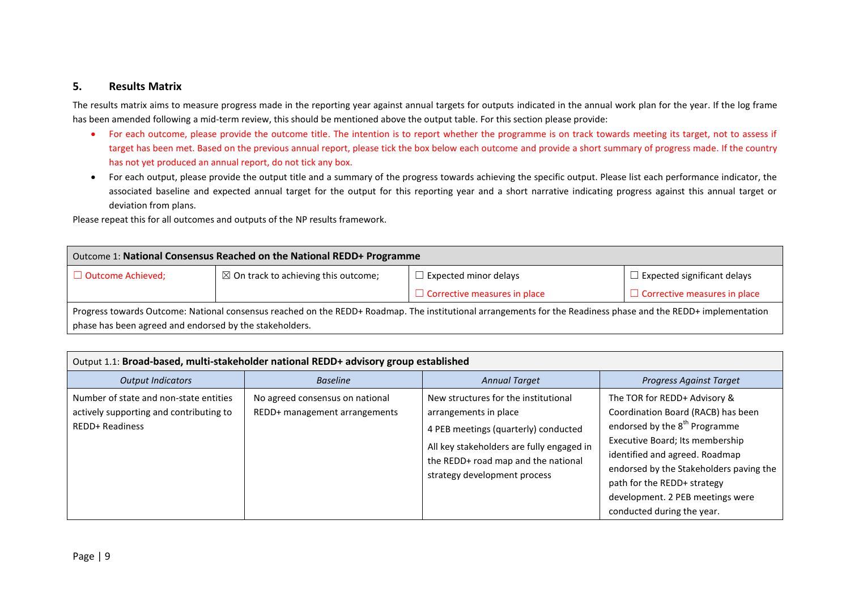#### **5. Results Matrix**

The results matrix aims to measure progress made in the reporting year against annual targets for outputs indicated in the annual work plan for the year. If the log frame has been amended following a mid-term review, this should be mentioned above the output table. For this section please provide:

- For each outcome, please provide the outcome title. The intention is to report whether the programme is on track towards meeting its target, not to assess if target has been met. Based on the previous annual report, please tick the box below each outcome and provide a short summary of progress made. If the country has not yet produced an annual report, do not tick any box.
- For each output, please provide the output title and a summary of the progress towards achieving the specific output. Please list each performance indicator, the associated baseline and expected annual target for the output for this reporting year and a short narrative indicating progress against this annual target or deviation from plans.

Please repeat this for all outcomes and outputs of the NP results framework.

| Outcome 1: National Consensus Reached on the National REDD+ Programme                                                                                          |  |                                     |                                     |
|----------------------------------------------------------------------------------------------------------------------------------------------------------------|--|-------------------------------------|-------------------------------------|
| $\boxtimes$ On track to achieving this outcome;<br>$\Box$ Expected significant delays<br>$\Box$ Outcome Achieved;<br>$\Box$ Expected minor delays              |  |                                     |                                     |
|                                                                                                                                                                |  | $\Box$ Corrective measures in place | $\Box$ Corrective measures in place |
| Progress towards Outcome: National consensus reached on the REDD+ Roadmap. The institutional arrangements for the Readiness phase and the REDD+ implementation |  |                                     |                                     |
| phase has been agreed and endorsed by the stakeholders.                                                                                                        |  |                                     |                                     |

<span id="page-8-0"></span>

|                                                                                                             | Output 1.1: Broad-based, multi-stakeholder national REDD+ advisory group established |                                                                                                                                                                                                                           |                                                                                                                                                                                                                                                                                                                                  |  |
|-------------------------------------------------------------------------------------------------------------|--------------------------------------------------------------------------------------|---------------------------------------------------------------------------------------------------------------------------------------------------------------------------------------------------------------------------|----------------------------------------------------------------------------------------------------------------------------------------------------------------------------------------------------------------------------------------------------------------------------------------------------------------------------------|--|
| <b>Output Indicators</b>                                                                                    | <b>Baseline</b>                                                                      | <b>Annual Target</b>                                                                                                                                                                                                      | <b>Progress Against Target</b>                                                                                                                                                                                                                                                                                                   |  |
| Number of state and non-state entities<br>actively supporting and contributing to<br><b>REDD+ Readiness</b> | No agreed consensus on national<br>REDD+ management arrangements                     | New structures for the institutional<br>arrangements in place<br>4 PEB meetings (quarterly) conducted<br>All key stakeholders are fully engaged in<br>the REDD+ road map and the national<br>strategy development process | The TOR for REDD+ Advisory &<br>Coordination Board (RACB) has been<br>endorsed by the 8 <sup>th</sup> Programme<br>Executive Board; Its membership<br>identified and agreed. Roadmap<br>endorsed by the Stakeholders paving the<br>path for the REDD+ strategy<br>development. 2 PEB meetings were<br>conducted during the year. |  |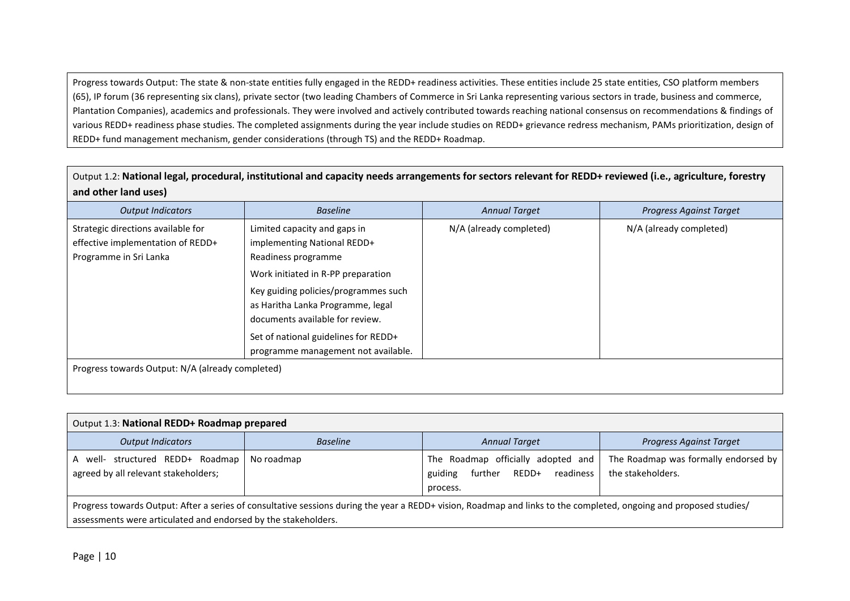Progress towards Output: The state & non-state entities fully engaged in the REDD+ readiness activities. These entities include 25 state entities, CSO platform members (65), IP forum (36 representing six clans), private sector (two leading Chambers of Commerce in Sri Lanka representing various sectors in trade, business and commerce, Plantation Companies), academics and professionals. They were involved and actively contributed towards reaching national consensus on recommendations & findings of various REDD+ readiness phase studies. The completed assignments during the year include studies on REDD+ grievance redress mechanism, PAMs prioritization, design of REDD+ fund management mechanism, gender considerations (through TS) and the REDD+ Roadmap.

Output 1.2: **National legal, procedural, institutional and capacity needs arrangements for sectors relevant for REDD+ reviewed (i.e., agriculture, forestry and other land uses)**

| <b>Output Indicators</b>                                                                          | <b>Baseline</b>                                                                                                                                                                                                                                                                  | <b>Annual Target</b>    | <b>Progress Against Target</b> |
|---------------------------------------------------------------------------------------------------|----------------------------------------------------------------------------------------------------------------------------------------------------------------------------------------------------------------------------------------------------------------------------------|-------------------------|--------------------------------|
| Strategic directions available for<br>effective implementation of REDD+<br>Programme in Sri Lanka | Limited capacity and gaps in<br>implementing National REDD+<br>Readiness programme<br>Work initiated in R-PP preparation<br>Key guiding policies/programmes such<br>as Haritha Lanka Programme, legal<br>documents available for review.<br>Set of national guidelines for REDD+ | N/A (already completed) | N/A (already completed)        |
| Progress towards Output: N/A (already completed)                                                  | programme management not available.                                                                                                                                                                                                                                              |                         |                                |

| Output 1.3: National REDD+ Roadmap prepared                                                                                                                                                                                          |                 |                                                                                         |                                                           |
|--------------------------------------------------------------------------------------------------------------------------------------------------------------------------------------------------------------------------------------|-----------------|-----------------------------------------------------------------------------------------|-----------------------------------------------------------|
| <b>Output Indicators</b>                                                                                                                                                                                                             | <b>Baseline</b> | <b>Annual Target</b>                                                                    | <b>Progress Against Target</b>                            |
| A well- structured REDD+ Roadmap<br>agreed by all relevant stakeholders;                                                                                                                                                             | No roadmap      | The Roadmap officially adopted and<br>readiness<br>further REDD+<br>guiding<br>process. | The Roadmap was formally endorsed by<br>the stakeholders. |
| Progress towards Output: After a series of consultative sessions during the year a REDD+ vision, Roadmap and links to the completed, ongoing and proposed studies/<br>assessments were articulated and endorsed by the stakeholders. |                 |                                                                                         |                                                           |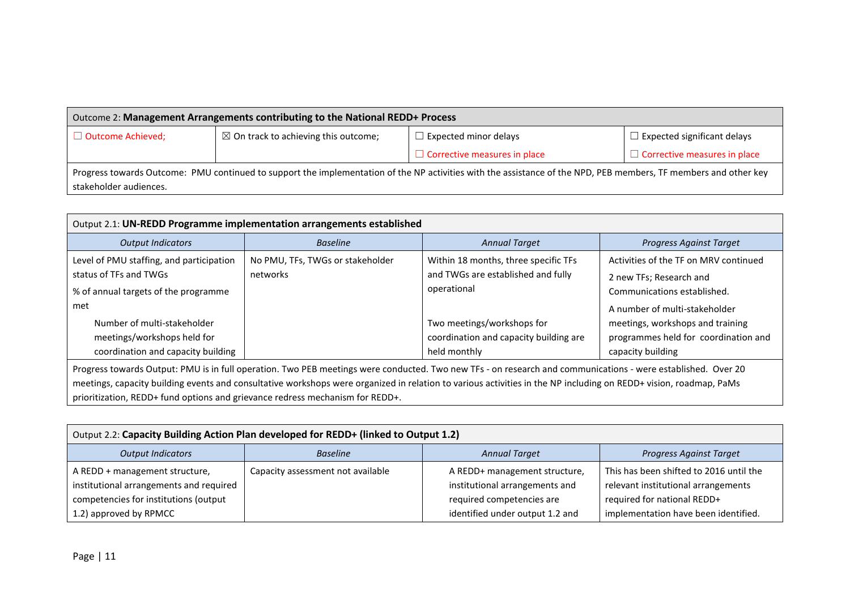| Outcome 2: Management Arrangements contributing to the National REDD+ Process                                                                                    |                                                 |                                     |                                     |
|------------------------------------------------------------------------------------------------------------------------------------------------------------------|-------------------------------------------------|-------------------------------------|-------------------------------------|
| $\Box$ Outcome Achieved;                                                                                                                                         | $\boxtimes$ On track to achieving this outcome; | <b>Expected minor delays</b>        | $\Box$ Expected significant delays  |
|                                                                                                                                                                  |                                                 | $\Box$ Corrective measures in place | $\Box$ Corrective measures in place |
| Progress towards Outcome: PMU continued to support the implementation of the NP activities with the assistance of the NPD, PEB members, TF members and other key |                                                 |                                     |                                     |
| stakeholder audiences.                                                                                                                                           |                                                 |                                     |                                     |

| Output 2.1: UN-REDD Programme implementation arrangements established                                                                                                                                                                                                                                                             |                                              |                                                                                                                                                                                   |                                                                                                                                                                                                                                   |
|-----------------------------------------------------------------------------------------------------------------------------------------------------------------------------------------------------------------------------------------------------------------------------------------------------------------------------------|----------------------------------------------|-----------------------------------------------------------------------------------------------------------------------------------------------------------------------------------|-----------------------------------------------------------------------------------------------------------------------------------------------------------------------------------------------------------------------------------|
| <b>Output Indicators</b>                                                                                                                                                                                                                                                                                                          | <b>Baseline</b>                              | <b>Annual Target</b>                                                                                                                                                              | <b>Progress Against Target</b>                                                                                                                                                                                                    |
| Level of PMU staffing, and participation<br>status of TFs and TWGs<br>% of annual targets of the programme<br>met<br>Number of multi-stakeholder<br>meetings/workshops held for<br>coordination and capacity building                                                                                                             | No PMU, TFs, TWGs or stakeholder<br>networks | Within 18 months, three specific TFs<br>and TWGs are established and fully<br>operational<br>Two meetings/workshops for<br>coordination and capacity building are<br>held monthly | Activities of the TF on MRV continued<br>2 new TFs; Research and<br>Communications established.<br>A number of multi-stakeholder<br>meetings, workshops and training<br>programmes held for coordination and<br>capacity building |
| Progress towards Output: PMU is in full operation. Two PEB meetings were conducted. Two new TFs - on research and communications - were established. Over 20<br>meetings, capacity building events and consultative workshops were organized in relation to various activities in the NP including on REDD+ vision, roadmap, PaMs |                                              |                                                                                                                                                                                   |                                                                                                                                                                                                                                   |

prioritization, REDD+ fund options and grievance redress mechanism for REDD+.

| Output 2.2: Capacity Building Action Plan developed for REDD+ (linked to Output 1.2) |                                   |                                 |                                         |
|--------------------------------------------------------------------------------------|-----------------------------------|---------------------------------|-----------------------------------------|
| <b>Output Indicators</b>                                                             | <b>Baseline</b>                   | <b>Annual Target</b>            | Progress Against Target                 |
| A REDD + management structure,                                                       | Capacity assessment not available | A REDD+ management structure,   | This has been shifted to 2016 until the |
| institutional arrangements and required                                              |                                   | institutional arrangements and  | relevant institutional arrangements     |
| competencies for institutions (output                                                |                                   | required competencies are       | required for national REDD+             |
| 1.2) approved by RPMCC                                                               |                                   | identified under output 1.2 and | implementation have been identified.    |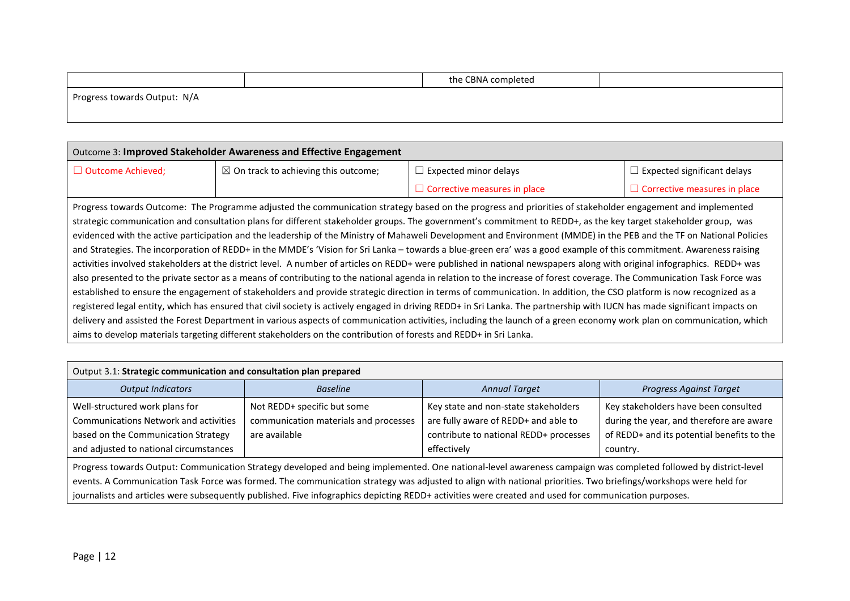|                              | the CBNA completed |  |
|------------------------------|--------------------|--|
| Progress towards Output: N/A |                    |  |
|                              |                    |  |

| <b>Outcome 3: Improved Stakeholder Awareness and Effective Engagement</b>                                                                                            |                                                                                                                                                            |                                     |                                     |  |  |  |
|----------------------------------------------------------------------------------------------------------------------------------------------------------------------|------------------------------------------------------------------------------------------------------------------------------------------------------------|-------------------------------------|-------------------------------------|--|--|--|
| □ Outcome Achieved;                                                                                                                                                  | $\boxtimes$ On track to achieving this outcome;                                                                                                            | $\Box$ Expected minor delays        | $\Box$ Expected significant delays  |  |  |  |
|                                                                                                                                                                      |                                                                                                                                                            | $\Box$ Corrective measures in place | $\Box$ Corrective measures in place |  |  |  |
|                                                                                                                                                                      | Progress towards Outcome: The Programme adjusted the communication strategy based on the progress and priorities of stakeholder engagement and implemented |                                     |                                     |  |  |  |
| strategic communication and consultation plans for different stakeholder groups. The government's commitment to REDD+, as the key target stakeholder group, was      |                                                                                                                                                            |                                     |                                     |  |  |  |
| evidenced with the active participation and the leadership of the Ministry of Mahaweli Development and Environment (MMDE) in the PEB and the TF on National Policies |                                                                                                                                                            |                                     |                                     |  |  |  |
| and Strategies. The incorporation of REDD+ in the MMDE's 'Vision for Sri Lanka - towards a blue-green era' was a good example of this commitment. Awareness raising  |                                                                                                                                                            |                                     |                                     |  |  |  |

activities involved stakeholders at the district level. A number of articles on REDD+ were published in national newspapers along with original infographics. REDD+ was also presented to the private sector as a means of contributing to the national agenda in relation to the increase of forest coverage. The Communication Task Force was established to ensure the engagement of stakeholders and provide strategic direction in terms of communication. In addition, the CSO platform is now recognized as a registered legal entity, which has ensured that civil society is actively engaged in driving REDD+ in Sri Lanka. The partnership with IUCN has made significant impacts on delivery and assisted the Forest Department in various aspects of communication activities, including the launch of a green economy work plan on communication, which aims to develop materials targeting different stakeholders on the contribution of forests and REDD+ in Sri Lanka.

| Output 3.1: Strategic communication and consultation plan prepared                                                                                                                                                                                                                                                                                                                                                                                                                         |                                                                                       |                                                                                                                                       |                                                                                                                                            |  |  |  |
|--------------------------------------------------------------------------------------------------------------------------------------------------------------------------------------------------------------------------------------------------------------------------------------------------------------------------------------------------------------------------------------------------------------------------------------------------------------------------------------------|---------------------------------------------------------------------------------------|---------------------------------------------------------------------------------------------------------------------------------------|--------------------------------------------------------------------------------------------------------------------------------------------|--|--|--|
| <b>Output Indicators</b>                                                                                                                                                                                                                                                                                                                                                                                                                                                                   | <b>Baseline</b>                                                                       | <b>Annual Target</b>                                                                                                                  | <b>Progress Against Target</b>                                                                                                             |  |  |  |
| Well-structured work plans for<br><b>Communications Network and activities</b><br>based on the Communication Strategy<br>and adjusted to national circumstances                                                                                                                                                                                                                                                                                                                            | Not REDD+ specific but some<br>communication materials and processes<br>are available | Key state and non-state stakeholders<br>are fully aware of REDD+ and able to<br>contribute to national REDD+ processes<br>effectively | Key stakeholders have been consulted<br>during the year, and therefore are aware<br>of REDD+ and its potential benefits to the<br>country. |  |  |  |
| Progress towards Output: Communication Strategy developed and being implemented. One national-level awareness campaign was completed followed by district-level<br>events. A Communication Task Force was formed. The communication strategy was adjusted to align with national priorities. Two briefings/workshops were held for<br>journalists and articles were subsequently published. Five infographics depicting REDD+ activities were created and used for communication purposes. |                                                                                       |                                                                                                                                       |                                                                                                                                            |  |  |  |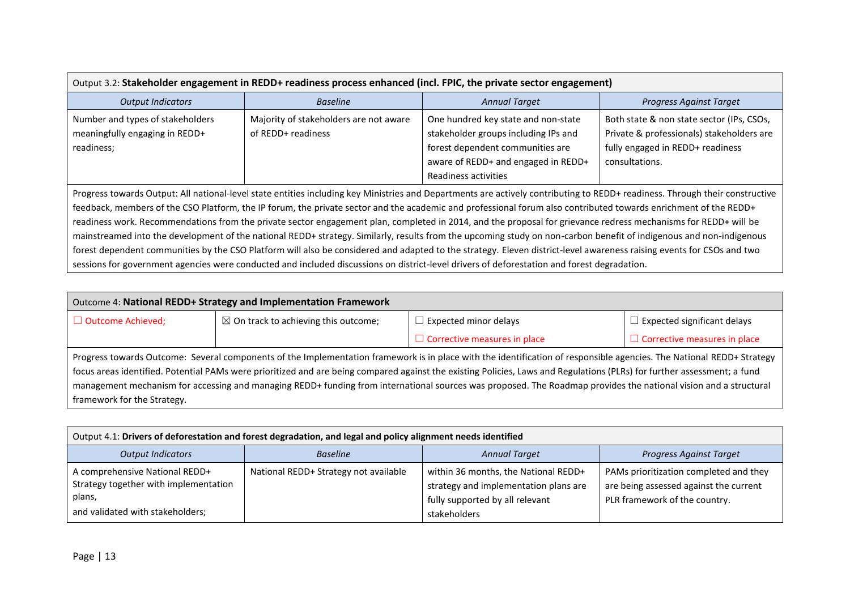| Output 3.2: Stakeholder engagement in REDD+ readiness process enhanced (incl. FPIC, the private sector engagement)                                                                                                                                                                                                                                                                                                                                                                                                                                                                                                                                                                                                                                                                                                                                                                                                                                                                                                 |                                                              |                                                                                                                                                                                |                                                                                                                                              |  |  |  |
|--------------------------------------------------------------------------------------------------------------------------------------------------------------------------------------------------------------------------------------------------------------------------------------------------------------------------------------------------------------------------------------------------------------------------------------------------------------------------------------------------------------------------------------------------------------------------------------------------------------------------------------------------------------------------------------------------------------------------------------------------------------------------------------------------------------------------------------------------------------------------------------------------------------------------------------------------------------------------------------------------------------------|--------------------------------------------------------------|--------------------------------------------------------------------------------------------------------------------------------------------------------------------------------|----------------------------------------------------------------------------------------------------------------------------------------------|--|--|--|
| <b>Output Indicators</b>                                                                                                                                                                                                                                                                                                                                                                                                                                                                                                                                                                                                                                                                                                                                                                                                                                                                                                                                                                                           | <b>Baseline</b>                                              | <b>Annual Target</b>                                                                                                                                                           | <b>Progress Against Target</b>                                                                                                               |  |  |  |
| Number and types of stakeholders<br>meaningfully engaging in REDD+<br>readiness;                                                                                                                                                                                                                                                                                                                                                                                                                                                                                                                                                                                                                                                                                                                                                                                                                                                                                                                                   | Majority of stakeholders are not aware<br>of REDD+ readiness | One hundred key state and non-state<br>stakeholder groups including IPs and<br>forest dependent communities are<br>aware of REDD+ and engaged in REDD+<br>Readiness activities | Both state & non state sector (IPs, CSOs,<br>Private & professionals) stakeholders are<br>fully engaged in REDD+ readiness<br>consultations. |  |  |  |
| Progress towards Output: All national-level state entities including key Ministries and Departments are actively contributing to REDD+ readiness. Through their constructive<br>feedback, members of the CSO Platform, the IP forum, the private sector and the academic and professional forum also contributed towards enrichment of the REDD+<br>readiness work. Recommendations from the private sector engagement plan, completed in 2014, and the proposal for grievance redress mechanisms for REDD+ will be<br>mainstreamed into the development of the national REDD+ strategy. Similarly, results from the upcoming study on non-carbon benefit of indigenous and non-indigenous<br>forest dependent communities by the CSO Platform will also be considered and adapted to the strategy. Eleven district-level awareness raising events for CSOs and two<br>sessions for government agencies were conducted and included discussions on district-level drivers of deforestation and forest degradation. |                                                              |                                                                                                                                                                                |                                                                                                                                              |  |  |  |

| Outcome 4: National REDD+ Strategy and Implementation Framework                                                                                                          |                                                 |                                                                                                                                                                       |                                     |  |  |  |
|--------------------------------------------------------------------------------------------------------------------------------------------------------------------------|-------------------------------------------------|-----------------------------------------------------------------------------------------------------------------------------------------------------------------------|-------------------------------------|--|--|--|
| □ Outcome Achieved;                                                                                                                                                      | $\boxtimes$ On track to achieving this outcome; | $\Box$ Expected minor delays                                                                                                                                          | $\Box$ Expected significant delays  |  |  |  |
|                                                                                                                                                                          |                                                 | $\Box$ Corrective measures in place                                                                                                                                   | $\Box$ Corrective measures in place |  |  |  |
|                                                                                                                                                                          |                                                 | Progress towards Outcome: Several components of the Implementation framework is in place with the identification of responsible agencies. The National REDD+ Strategy |                                     |  |  |  |
| focus areas identified. Potential PAMs were prioritized and are being compared against the existing Policies, Laws and Regulations (PLRs) for further assessment; a fund |                                                 |                                                                                                                                                                       |                                     |  |  |  |
| management mechanism for accessing and managing REDD+ funding from international sources was proposed. The Roadmap provides the national vision and a structural         |                                                 |                                                                                                                                                                       |                                     |  |  |  |
| framework for the Strategy.                                                                                                                                              |                                                 |                                                                                                                                                                       |                                     |  |  |  |

| Output 4.1: Drivers of deforestation and forest degradation, and legal and policy alignment needs identified          |                                                                    |                                                                                                                                  |                                                                                                                   |  |  |  |
|-----------------------------------------------------------------------------------------------------------------------|--------------------------------------------------------------------|----------------------------------------------------------------------------------------------------------------------------------|-------------------------------------------------------------------------------------------------------------------|--|--|--|
| <b>Output Indicators</b>                                                                                              | <b>Annual Target</b><br>Progress Against Target<br><b>Baseline</b> |                                                                                                                                  |                                                                                                                   |  |  |  |
| A comprehensive National REDD+<br>Strategy together with implementation<br>plans,<br>and validated with stakeholders; | National REDD+ Strategy not available                              | within 36 months, the National REDD+<br>strategy and implementation plans are<br>fully supported by all relevant<br>stakeholders | PAMs prioritization completed and they<br>are being assessed against the current<br>PLR framework of the country. |  |  |  |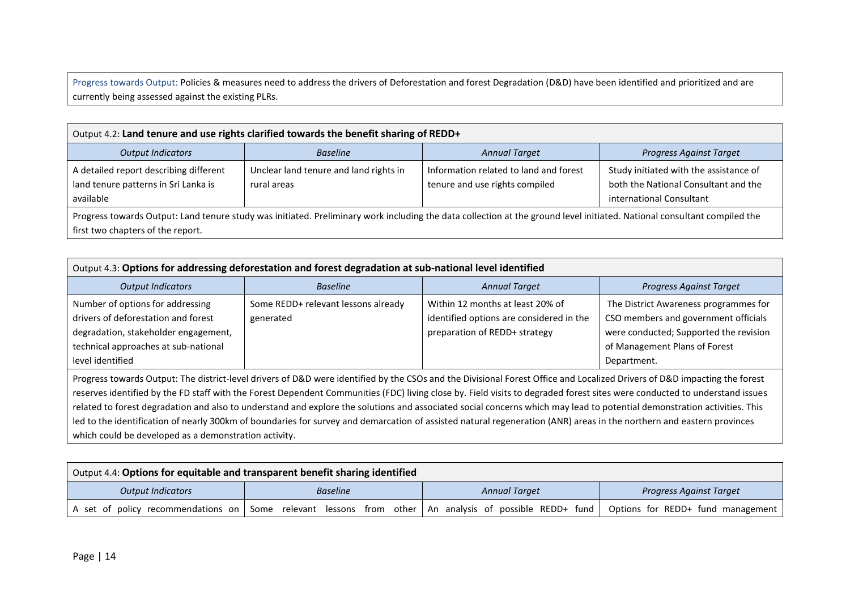Progress towards Output: Policies & measures need to address the drivers of Deforestation and forest Degradation (D&D) have been identified and prioritized and are currently being assessed against the existing PLRs.

| Output 4.2: Land tenure and use rights clarified towards the benefit sharing of REDD+                                                                                                                         |                                                       |                                                                          |                                                                                                            |  |  |  |
|---------------------------------------------------------------------------------------------------------------------------------------------------------------------------------------------------------------|-------------------------------------------------------|--------------------------------------------------------------------------|------------------------------------------------------------------------------------------------------------|--|--|--|
| <b>Output Indicators</b>                                                                                                                                                                                      | <b>Baseline</b>                                       | <b>Annual Target</b>                                                     | <b>Progress Against Target</b>                                                                             |  |  |  |
| A detailed report describing different<br>land tenure patterns in Sri Lanka is<br>available                                                                                                                   | Unclear land tenure and land rights in<br>rural areas | Information related to land and forest<br>tenure and use rights compiled | Study initiated with the assistance of<br>both the National Consultant and the<br>international Consultant |  |  |  |
| Progress towards Output: Land tenure study was initiated. Preliminary work including the data collection at the ground level initiated. National consultant compiled the<br>first two chapters of the report. |                                                       |                                                                          |                                                                                                            |  |  |  |

| Output 4.3: Options for addressing deforestation and forest degradation at sub-national level identified                                                                    |                                                  |                                                                                                               |                                                                                                                                                                         |  |  |  |
|-----------------------------------------------------------------------------------------------------------------------------------------------------------------------------|--------------------------------------------------|---------------------------------------------------------------------------------------------------------------|-------------------------------------------------------------------------------------------------------------------------------------------------------------------------|--|--|--|
| <b>Output Indicators</b>                                                                                                                                                    | <b>Baseline</b>                                  | <b>Annual Target</b>                                                                                          | <b>Progress Against Target</b>                                                                                                                                          |  |  |  |
| Number of options for addressing<br>drivers of deforestation and forest<br>degradation, stakeholder engagement,<br>technical approaches at sub-national<br>level identified | Some REDD+ relevant lessons already<br>generated | Within 12 months at least 20% of<br>identified options are considered in the<br>preparation of REDD+ strategy | The District Awareness programmes for<br>CSO members and government officials<br>were conducted; Supported the revision<br>of Management Plans of Forest<br>Department. |  |  |  |

Progress towards Output: The district-level drivers of D&D were identified by the CSOs and the Divisional Forest Office and Localized Drivers of D&D impacting the forest reserves identified by the FD staff with the Forest Dependent Communities (FDC) living close by. Field visits to degraded forest sites were conducted to understand issues related to forest degradation and also to understand and explore the solutions and associated social concerns which may lead to potential demonstration activities. This led to the identification of nearly 300km of boundaries for survey and demarcation of assisted natural regeneration (ANR) areas in the northern and eastern provinces which could be developed as a demonstration activity.

| $\,$ Output 4.4: Options for equitable and transparent benefit sharing identified |                 |                                                                       |                                   |  |  |  |
|-----------------------------------------------------------------------------------|-----------------|-----------------------------------------------------------------------|-----------------------------------|--|--|--|
| <b>Output Indicators</b>                                                          | <b>Baseline</b> | <b>Annual Target</b>                                                  | <b>Progress Against Target</b>    |  |  |  |
| A set of policy recommendations on                                                |                 | Some relevant lessons from other   An analysis of possible REDD+ fund | Options for REDD+ fund management |  |  |  |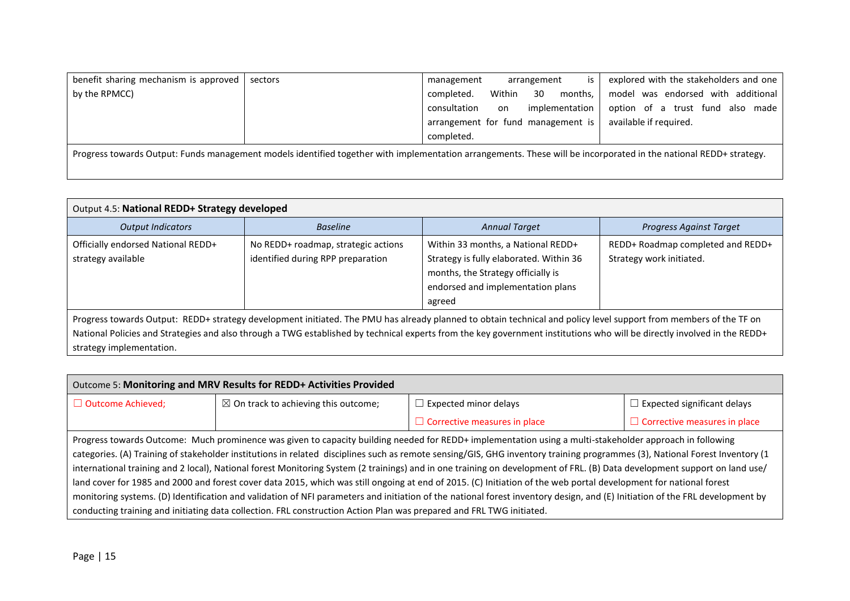| benefit sharing mechanism is approved | sectors                                                                                                                                                           | management                         |        | arrangement | is             | explored with the stakeholders and one |
|---------------------------------------|-------------------------------------------------------------------------------------------------------------------------------------------------------------------|------------------------------------|--------|-------------|----------------|----------------------------------------|
| by the RPMCC)                         |                                                                                                                                                                   | completed.                         | Within | 30          | months,        | model was endorsed with additional     |
|                                       |                                                                                                                                                                   | consultation                       | on     |             | implementation | option of a trust fund also made       |
|                                       |                                                                                                                                                                   | arrangement for fund management is |        |             |                | available if required.                 |
|                                       |                                                                                                                                                                   | completed.                         |        |             |                |                                        |
|                                       | Progress towards Output: Funds management models identified together with implementation arrangements. These will be incorporated in the national REDD+ strategy. |                                    |        |             |                |                                        |

| Output 4.5: National REDD+ Strategy developed                                                                                                                                                                                                                                                                                                                             |                                                                          |                                                                                                                                                                    |                                                               |  |  |  |  |
|---------------------------------------------------------------------------------------------------------------------------------------------------------------------------------------------------------------------------------------------------------------------------------------------------------------------------------------------------------------------------|--------------------------------------------------------------------------|--------------------------------------------------------------------------------------------------------------------------------------------------------------------|---------------------------------------------------------------|--|--|--|--|
| <b>Output Indicators</b>                                                                                                                                                                                                                                                                                                                                                  | <b>Baseline</b>                                                          | <b>Annual Target</b>                                                                                                                                               | <b>Progress Against Target</b>                                |  |  |  |  |
| Officially endorsed National REDD+<br>strategy available                                                                                                                                                                                                                                                                                                                  | No REDD+ roadmap, strategic actions<br>identified during RPP preparation | Within 33 months, a National REDD+<br>Strategy is fully elaborated. Within 36<br>months, the Strategy officially is<br>endorsed and implementation plans<br>agreed | REDD+ Roadmap completed and REDD+<br>Strategy work initiated. |  |  |  |  |
| Progress towards Output: REDD+ strategy development initiated. The PMU has already planned to obtain technical and policy level support from members of the TF on<br>National Policies and Strategies and also through a TWG established by technical experts from the key government institutions who will be directly involved in the REDD+<br>strategy implementation. |                                                                          |                                                                                                                                                                    |                                                               |  |  |  |  |

| Outcome 5: Monitoring and MRV Results for REDD+ Activities Provided                                                                                                          |                                                                                                                                                                           |                                                                                                                                                                             |                                     |  |  |  |
|------------------------------------------------------------------------------------------------------------------------------------------------------------------------------|---------------------------------------------------------------------------------------------------------------------------------------------------------------------------|-----------------------------------------------------------------------------------------------------------------------------------------------------------------------------|-------------------------------------|--|--|--|
| $\Box$ Outcome Achieved;                                                                                                                                                     | $\boxtimes$ On track to achieving this outcome;                                                                                                                           | $\Box$ Expected minor delays                                                                                                                                                | $\Box$ Expected significant delays  |  |  |  |
|                                                                                                                                                                              |                                                                                                                                                                           | $\Box$ Corrective measures in place                                                                                                                                         | $\Box$ Corrective measures in place |  |  |  |
|                                                                                                                                                                              |                                                                                                                                                                           | Progress towards Outcome: Much prominence was given to capacity building needed for REDD+ implementation using a multi-stakeholder approach in following                    |                                     |  |  |  |
|                                                                                                                                                                              |                                                                                                                                                                           | categories. (A) Training of stakeholder institutions in related disciplines such as remote sensing/GIS, GHG inventory training programmes (3), National Forest Inventory (1 |                                     |  |  |  |
|                                                                                                                                                                              | international training and 2 local), National forest Monitoring System (2 trainings) and in one training on development of FRL. (B) Data development support on land use/ |                                                                                                                                                                             |                                     |  |  |  |
| land cover for 1985 and 2000 and forest cover data 2015, which was still ongoing at end of 2015. (C) Initiation of the web portal development for national forest            |                                                                                                                                                                           |                                                                                                                                                                             |                                     |  |  |  |
| monitoring systems. (D) Identification and validation of NFI parameters and initiation of the national forest inventory design, and (E) Initiation of the FRL development by |                                                                                                                                                                           |                                                                                                                                                                             |                                     |  |  |  |
| conducting training and initiating data collection. FRL construction Action Plan was prepared and FRL TWG initiated.                                                         |                                                                                                                                                                           |                                                                                                                                                                             |                                     |  |  |  |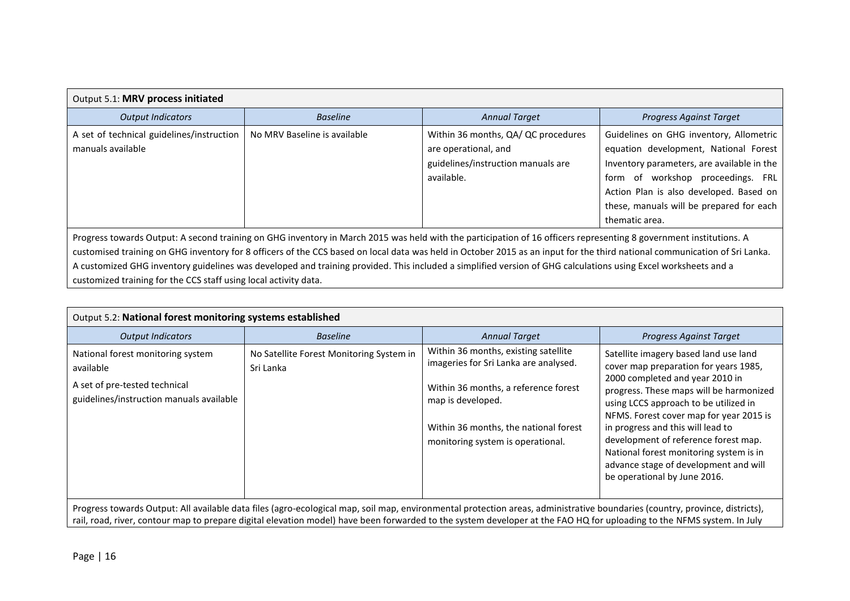| Output 5.1: MRV process initiated                                                                                                                                                                                                                                                                                                                                                                                                                                                                                                                                                      |                              |                                                                                                                 |                                                                                                                                                                                                                                                                              |  |  |
|----------------------------------------------------------------------------------------------------------------------------------------------------------------------------------------------------------------------------------------------------------------------------------------------------------------------------------------------------------------------------------------------------------------------------------------------------------------------------------------------------------------------------------------------------------------------------------------|------------------------------|-----------------------------------------------------------------------------------------------------------------|------------------------------------------------------------------------------------------------------------------------------------------------------------------------------------------------------------------------------------------------------------------------------|--|--|
| <b>Output Indicators</b>                                                                                                                                                                                                                                                                                                                                                                                                                                                                                                                                                               | <b>Baseline</b>              | <b>Annual Target</b>                                                                                            | <b>Progress Against Target</b>                                                                                                                                                                                                                                               |  |  |
| A set of technical guidelines/instruction<br>manuals available                                                                                                                                                                                                                                                                                                                                                                                                                                                                                                                         | No MRV Baseline is available | Within 36 months, QA/ QC procedures<br>are operational, and<br>guidelines/instruction manuals are<br>available. | Guidelines on GHG inventory, Allometric<br>equation development, National Forest<br>Inventory parameters, are available in the<br>form of workshop proceedings. FRL<br>Action Plan is also developed. Based on<br>these, manuals will be prepared for each<br>thematic area. |  |  |
| Progress towards Output: A second training on GHG inventory in March 2015 was held with the participation of 16 officers representing 8 government institutions. A<br>customised training on GHG inventory for 8 officers of the CCS based on local data was held in October 2015 as an input for the third national communication of Sri Lanka.<br>A customized GHG inventory guidelines was developed and training provided. This included a simplified version of GHG calculations using Excel worksheets and a<br>customized training for the CCS staff using local activity data. |                              |                                                                                                                 |                                                                                                                                                                                                                                                                              |  |  |

| Output 5.2: National forest monitoring systems established                                                                                                                                                                                                                                                                                            |                                                       |                                                                                                                                                                                                                          |                                                                                                                                                                                                                                                                                                                                                                                                                                                   |  |  |
|-------------------------------------------------------------------------------------------------------------------------------------------------------------------------------------------------------------------------------------------------------------------------------------------------------------------------------------------------------|-------------------------------------------------------|--------------------------------------------------------------------------------------------------------------------------------------------------------------------------------------------------------------------------|---------------------------------------------------------------------------------------------------------------------------------------------------------------------------------------------------------------------------------------------------------------------------------------------------------------------------------------------------------------------------------------------------------------------------------------------------|--|--|
| <b>Output Indicators</b>                                                                                                                                                                                                                                                                                                                              | <b>Baseline</b>                                       | <b>Annual Target</b>                                                                                                                                                                                                     | <b>Progress Against Target</b>                                                                                                                                                                                                                                                                                                                                                                                                                    |  |  |
| National forest monitoring system<br>available<br>A set of pre-tested technical<br>guidelines/instruction manuals available                                                                                                                                                                                                                           | No Satellite Forest Monitoring System in<br>Sri Lanka | Within 36 months, existing satellite<br>imageries for Sri Lanka are analysed.<br>Within 36 months, a reference forest<br>map is developed.<br>Within 36 months, the national forest<br>monitoring system is operational. | Satellite imagery based land use land<br>cover map preparation for years 1985,<br>2000 completed and year 2010 in<br>progress. These maps will be harmonized<br>using LCCS approach to be utilized in<br>NFMS. Forest cover map for year 2015 is<br>in progress and this will lead to<br>development of reference forest map.<br>National forest monitoring system is in<br>advance stage of development and will<br>be operational by June 2016. |  |  |
| Progress towards Output: All available data files (agro-ecological map, soil map, environmental protection areas, administrative boundaries (country, province, districts),<br>rail, road, river, contour map to prepare digital elevation model) have been forwarded to the system developer at the FAO HQ for uploading to the NFMS system. In July |                                                       |                                                                                                                                                                                                                          |                                                                                                                                                                                                                                                                                                                                                                                                                                                   |  |  |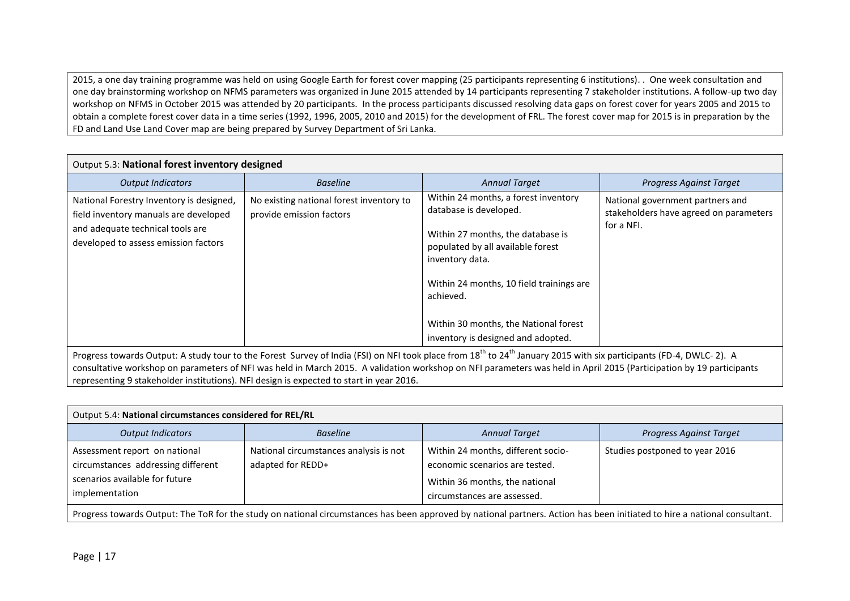2015, a one day training programme was held on using Google Earth for forest cover mapping (25 participants representing 6 institutions). . One week consultation and one day brainstorming workshop on NFMS parameters was organized in June 2015 attended by 14 participants representing 7 stakeholder institutions. A follow-up two day workshop on NFMS in October 2015 was attended by 20 participants. In the process participants discussed resolving data gaps on forest cover for years 2005 and 2015 to obtain a complete forest cover data in a time series (1992, 1996, 2005, 2010 and 2015) for the development of FRL. The forest cover map for 2015 is in preparation by the FD and Land Use Land Cover map are being prepared by Survey Department of Sri Lanka.

| Output 5.3: National forest inventory designed                                                                                                                                                                                                                                                                                                                     |                                                                      |                                                                                                                                                                                                                                                                                                     |                                                                                          |  |  |
|--------------------------------------------------------------------------------------------------------------------------------------------------------------------------------------------------------------------------------------------------------------------------------------------------------------------------------------------------------------------|----------------------------------------------------------------------|-----------------------------------------------------------------------------------------------------------------------------------------------------------------------------------------------------------------------------------------------------------------------------------------------------|------------------------------------------------------------------------------------------|--|--|
| <b>Output Indicators</b>                                                                                                                                                                                                                                                                                                                                           | <b>Baseline</b>                                                      | <b>Annual Target</b>                                                                                                                                                                                                                                                                                | <b>Progress Against Target</b>                                                           |  |  |
| National Forestry Inventory is designed,<br>field inventory manuals are developed<br>and adequate technical tools are<br>developed to assess emission factors                                                                                                                                                                                                      | No existing national forest inventory to<br>provide emission factors | Within 24 months, a forest inventory<br>database is developed.<br>Within 27 months, the database is<br>populated by all available forest<br>inventory data.<br>Within 24 months, 10 field trainings are<br>achieved.<br>Within 30 months, the National forest<br>inventory is designed and adopted. | National government partners and<br>stakeholders have agreed on parameters<br>for a NFI. |  |  |
| Progress towards Output: A study tour to the Forest Survey of India (FSI) on NFI took place from 18 <sup>th</sup> to 24 <sup>th</sup> January 2015 with six participants (FD-4, DWLC- 2). A<br>consultative workshop on parameters of NFI was held in March 2015. A validation workshop on NFI parameters was held in April 2015 (Participation by 19 participants |                                                                      |                                                                                                                                                                                                                                                                                                     |                                                                                          |  |  |

representing 9 stakeholder institutions). NFI design is expected to start in year 2016.

| Output 5.4: National circumstances considered for REL/RL                                                                                                                  |                                                             |                                                                                                                                       |                                |
|---------------------------------------------------------------------------------------------------------------------------------------------------------------------------|-------------------------------------------------------------|---------------------------------------------------------------------------------------------------------------------------------------|--------------------------------|
| <b>Output Indicators</b>                                                                                                                                                  | <b>Baseline</b>                                             | <b>Annual Target</b>                                                                                                                  | <b>Progress Against Target</b> |
| Assessment report on national<br>circumstances addressing different<br>scenarios available for future<br>implementation                                                   | National circumstances analysis is not<br>adapted for REDD+ | Within 24 months, different socio-<br>economic scenarios are tested.<br>Within 36 months, the national<br>circumstances are assessed. | Studies postponed to year 2016 |
| Progress towards Output: The ToR for the study on national circumstances has been approved by national partners. Action has been initiated to hire a national consultant. |                                                             |                                                                                                                                       |                                |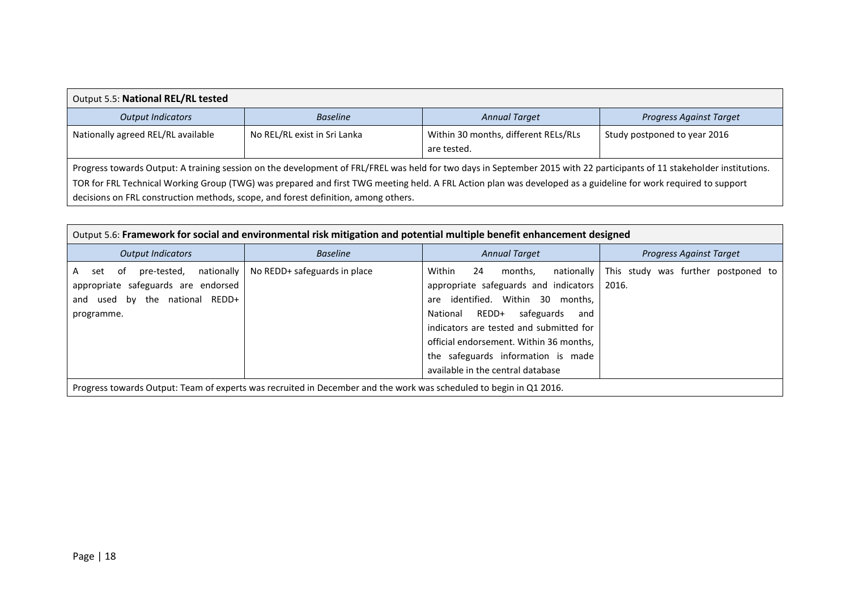| Output 5.5: National REL/RL tested                                                                                                                                                                                                                                                                                                                                                                                              |                              |                                                     |                                |  |  |
|---------------------------------------------------------------------------------------------------------------------------------------------------------------------------------------------------------------------------------------------------------------------------------------------------------------------------------------------------------------------------------------------------------------------------------|------------------------------|-----------------------------------------------------|--------------------------------|--|--|
| <b>Output Indicators</b>                                                                                                                                                                                                                                                                                                                                                                                                        | <b>Baseline</b>              | <b>Annual Target</b>                                | <b>Progress Against Target</b> |  |  |
| Nationally agreed REL/RL available                                                                                                                                                                                                                                                                                                                                                                                              | No REL/RL exist in Sri Lanka | Within 30 months, different RELs/RLs<br>are tested. | Study postponed to year 2016   |  |  |
| Progress towards Output: A training session on the development of FRL/FREL was held for two days in September 2015 with 22 participants of 11 stakeholder institutions.<br>TOR for FRL Technical Working Group (TWG) was prepared and first TWG meeting held. A FRL Action plan was developed as a guideline for work required to support<br>decisions on FRL construction methods, scope, and forest definition, among others. |                              |                                                     |                                |  |  |

| Output 5.6: Framework for social and environmental risk mitigation and potential multiple benefit enhancement designed                 |                              |                                                                                                                                                                                                                                                                                                                                |                                              |  |  |  |  |
|----------------------------------------------------------------------------------------------------------------------------------------|------------------------------|--------------------------------------------------------------------------------------------------------------------------------------------------------------------------------------------------------------------------------------------------------------------------------------------------------------------------------|----------------------------------------------|--|--|--|--|
| <b>Output Indicators</b>                                                                                                               | <b>Baseline</b>              | <b>Annual Target</b>                                                                                                                                                                                                                                                                                                           | Progress Against Target                      |  |  |  |  |
| nationally<br>pre-tested,<br>-of<br>set<br>A<br>appropriate safeguards are endorsed<br>used by the national REDD+<br>and<br>programme. | No REDD+ safeguards in place | Within<br>24<br>nationally<br>months.<br>appropriate safeguards and indicators<br>are identified. Within 30 months,<br>REDD+<br>safeguards<br>National<br>and<br>indicators are tested and submitted for<br>official endorsement. Within 36 months,<br>the safeguards information is made<br>available in the central database | This study was further postponed to<br>2016. |  |  |  |  |
| Progress towards Output: Team of experts was recruited in December and the work was scheduled to begin in Q1 2016.                     |                              |                                                                                                                                                                                                                                                                                                                                |                                              |  |  |  |  |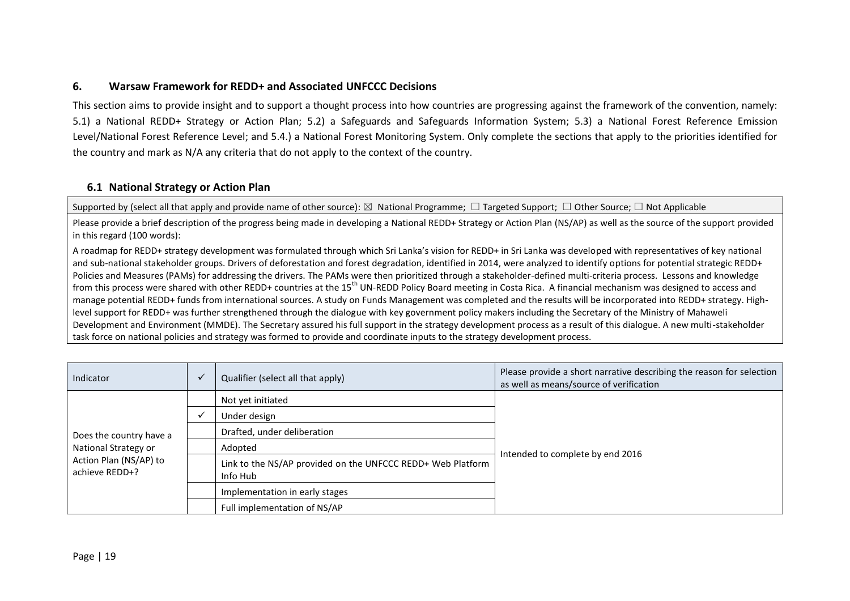## **6. Warsaw Framework for REDD+ and Associated UNFCCC Decisions**

This section aims to provide insight and to support a thought process into how countries are progressing against the framework of the convention, namely: 5.1) a National REDD+ Strategy or Action Plan; 5.2) a Safeguards and Safeguards Information System; 5.3) a National Forest Reference Emission Level/National Forest Reference Level; and 5.4.) a National Forest Monitoring System. Only complete the sections that apply to the priorities identified for the country and mark as N/A any criteria that do not apply to the context of the country.

# **6.1 National Strategy or Action Plan**

Supported by (select all that apply and provide name of other source): ⊠ National Programme;  $\Box$  Targeted Support;  $\Box$  Other Source;  $\Box$  Not Applicable

Please provide a brief description of the progress being made in developing a National REDD+ Strategy or Action Plan (NS/AP) as well as the source of the support provided in this regard (100 words):

A roadmap for REDD+ strategy development was formulated through which Sri Lanka's vision for REDD+ in Sri Lanka was developed with representatives of key national and sub-national stakeholder groups. Drivers of deforestation and forest degradation, identified in 2014, were analyzed to identify options for potential strategic REDD+ Policies and Measures (PAMs) for addressing the drivers. The PAMs were then prioritized through a stakeholder-defined multi-criteria process. Lessons and knowledge from this process were shared with other REDD+ countries at the 15<sup>th</sup> UN-REDD Policy Board meeting in Costa Rica. A financial mechanism was designed to access and manage potential REDD+ funds from international sources. A study on Funds Management was completed and the results will be incorporated into REDD+ strategy. Highlevel support for REDD+ was further strengthened through the dialogue with key government policy makers including the Secretary of the Ministry of Mahaweli Development and Environment (MMDE). The Secretary assured his full support in the strategy development process as a result of this dialogue. A new multi-stakeholder task force on national policies and strategy was formed to provide and coordinate inputs to the strategy development process.

<span id="page-18-0"></span>

| Indicator                                                                                   | Qualifier (select all that apply)                                       | Please provide a short narrative describing the reason for selection<br>as well as means/source of verification |
|---------------------------------------------------------------------------------------------|-------------------------------------------------------------------------|-----------------------------------------------------------------------------------------------------------------|
| Does the country have a<br>National Strategy or<br>Action Plan (NS/AP) to<br>achieve REDD+? | Not yet initiated                                                       |                                                                                                                 |
|                                                                                             | Under design                                                            |                                                                                                                 |
|                                                                                             | Drafted, under deliberation                                             |                                                                                                                 |
|                                                                                             | Adopted                                                                 | Intended to complete by end 2016                                                                                |
|                                                                                             | Link to the NS/AP provided on the UNFCCC REDD+ Web Platform<br>Info Hub |                                                                                                                 |
|                                                                                             | Implementation in early stages                                          |                                                                                                                 |
|                                                                                             | Full implementation of NS/AP                                            |                                                                                                                 |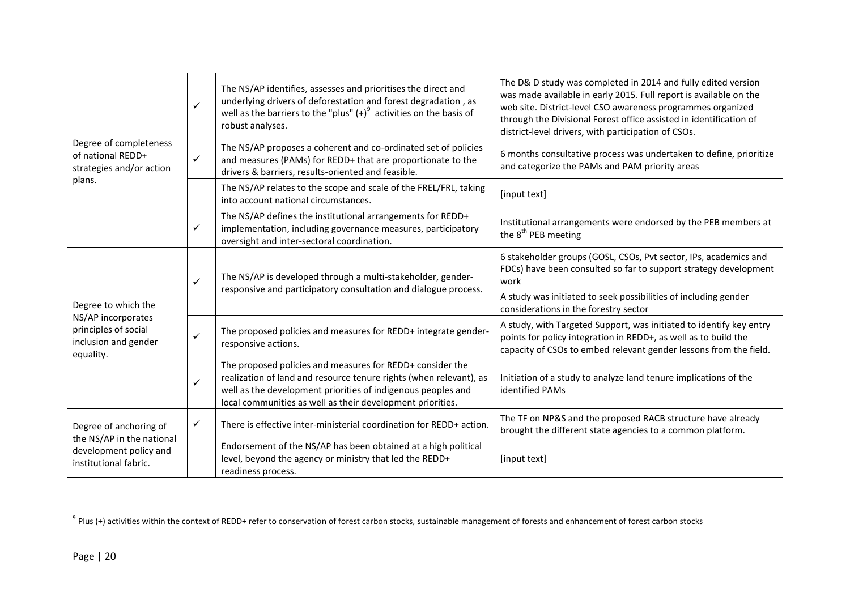|                                                                                                        | ✓            | The NS/AP identifies, assesses and prioritises the direct and<br>underlying drivers of deforestation and forest degradation, as<br>well as the barriers to the "plus" $(+)^9$ activities on the basis of<br>robust analyses.                                  | The D& D study was completed in 2014 and fully edited version<br>was made available in early 2015. Full report is available on the<br>web site. District-level CSO awareness programmes organized<br>through the Divisional Forest office assisted in identification of<br>district-level drivers, with participation of CSOs. |
|--------------------------------------------------------------------------------------------------------|--------------|---------------------------------------------------------------------------------------------------------------------------------------------------------------------------------------------------------------------------------------------------------------|--------------------------------------------------------------------------------------------------------------------------------------------------------------------------------------------------------------------------------------------------------------------------------------------------------------------------------|
| Degree of completeness<br>of national REDD+<br>strategies and/or action                                | $\checkmark$ | The NS/AP proposes a coherent and co-ordinated set of policies<br>and measures (PAMs) for REDD+ that are proportionate to the<br>drivers & barriers, results-oriented and feasible.                                                                           | 6 months consultative process was undertaken to define, prioritize<br>and categorize the PAMs and PAM priority areas                                                                                                                                                                                                           |
| plans.                                                                                                 |              | The NS/AP relates to the scope and scale of the FREL/FRL, taking<br>into account national circumstances.                                                                                                                                                      | [input text]                                                                                                                                                                                                                                                                                                                   |
|                                                                                                        | ✓            | The NS/AP defines the institutional arrangements for REDD+<br>implementation, including governance measures, participatory<br>oversight and inter-sectoral coordination.                                                                                      | Institutional arrangements were endorsed by the PEB members at<br>the 8 <sup>th</sup> PEB meeting                                                                                                                                                                                                                              |
|                                                                                                        | ✓            | The NS/AP is developed through a multi-stakeholder, gender-<br>responsive and participatory consultation and dialogue process.                                                                                                                                | 6 stakeholder groups (GOSL, CSOs, Pvt sector, IPs, academics and<br>FDCs) have been consulted so far to support strategy development<br>work                                                                                                                                                                                   |
| Degree to which the                                                                                    |              |                                                                                                                                                                                                                                                               | A study was initiated to seek possibilities of including gender<br>considerations in the forestry sector                                                                                                                                                                                                                       |
| NS/AP incorporates<br>principles of social<br>inclusion and gender<br>equality.                        | ✓            | The proposed policies and measures for REDD+ integrate gender-<br>responsive actions.                                                                                                                                                                         | A study, with Targeted Support, was initiated to identify key entry<br>points for policy integration in REDD+, as well as to build the<br>capacity of CSOs to embed relevant gender lessons from the field.                                                                                                                    |
|                                                                                                        | ✓            | The proposed policies and measures for REDD+ consider the<br>realization of land and resource tenure rights (when relevant), as<br>well as the development priorities of indigenous peoples and<br>local communities as well as their development priorities. | Initiation of a study to analyze land tenure implications of the<br>identified PAMs                                                                                                                                                                                                                                            |
| Degree of anchoring of<br>the NS/AP in the national<br>development policy and<br>institutional fabric. | ✓            | There is effective inter-ministerial coordination for REDD+ action.                                                                                                                                                                                           | The TF on NP&S and the proposed RACB structure have already<br>brought the different state agencies to a common platform.                                                                                                                                                                                                      |
|                                                                                                        |              | Endorsement of the NS/AP has been obtained at a high political<br>level, beyond the agency or ministry that led the REDD+<br>readiness process.                                                                                                               | [input text]                                                                                                                                                                                                                                                                                                                   |

 $\overline{a}$ 

 $^9$  Plus (+) activities within the context of REDD+ refer to conservation of forest carbon stocks, sustainable management of forests and enhancement of forest carbon stocks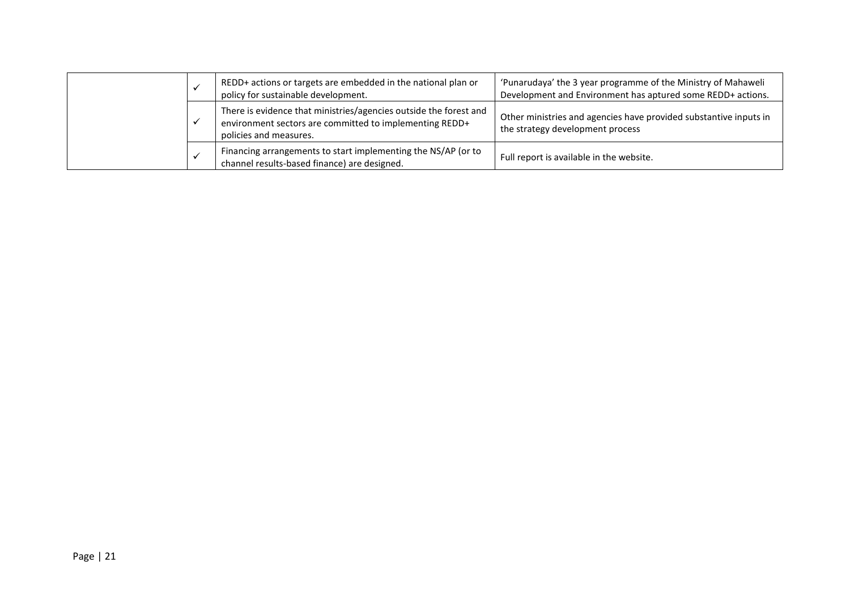|  | REDD+ actions or targets are embedded in the national plan or<br>policy for sustainable development.                                                   | 'Punarudaya' the 3 year programme of the Ministry of Mahaweli<br>Development and Environment has aptured some REDD+ actions. |
|--|--------------------------------------------------------------------------------------------------------------------------------------------------------|------------------------------------------------------------------------------------------------------------------------------|
|  | There is evidence that ministries/agencies outside the forest and<br>environment sectors are committed to implementing REDD+<br>policies and measures. | Other ministries and agencies have provided substantive inputs in<br>the strategy development process                        |
|  | Financing arrangements to start implementing the NS/AP (or to<br>channel results-based finance) are designed.                                          | Full report is available in the website.                                                                                     |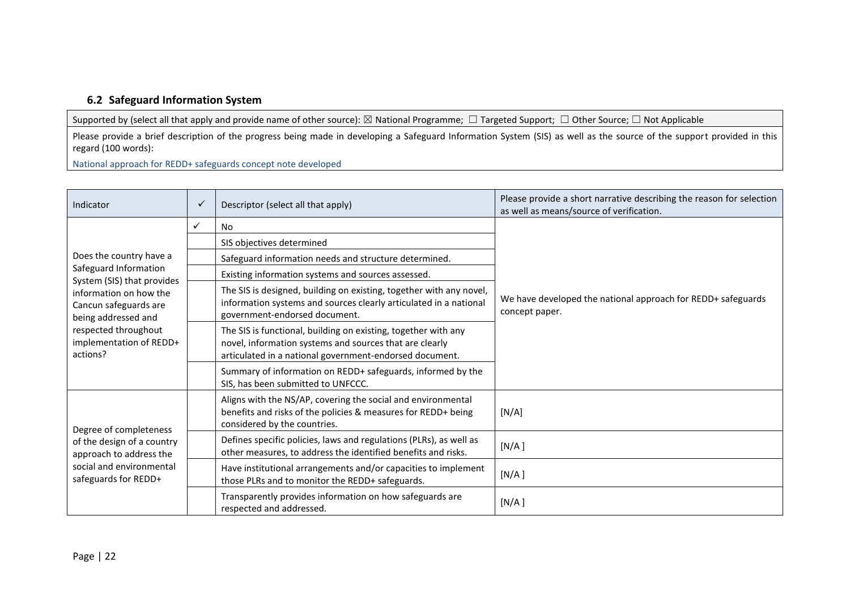## **6.2 Safeguard Information System**

Supported by (select all that apply and provide name of other source): ⊠ National Programme; □ Targeted Support; □ Other Source; □ Not Applicable

Please provide a brief description of the progress being made in developing a Safeguard Information System (SIS) as well as the source of the support provided in this regard (100 words):

National approach for REDD+ safeguards concept note developed

| Indicator                                                                                                                             | $\checkmark$ | Descriptor (select all that apply)                                                                                                                                                   | Please provide a short narrative describing the reason for selection<br>as well as means/source of verification. |
|---------------------------------------------------------------------------------------------------------------------------------------|--------------|--------------------------------------------------------------------------------------------------------------------------------------------------------------------------------------|------------------------------------------------------------------------------------------------------------------|
|                                                                                                                                       | $\checkmark$ | <b>No</b>                                                                                                                                                                            |                                                                                                                  |
|                                                                                                                                       |              | SIS objectives determined                                                                                                                                                            |                                                                                                                  |
| Does the country have a                                                                                                               |              | Safeguard information needs and structure determined.                                                                                                                                |                                                                                                                  |
| Safeguard Information<br>System (SIS) that provides                                                                                   |              | Existing information systems and sources assessed.                                                                                                                                   |                                                                                                                  |
| information on how the<br>Cancun safeguards are<br>being addressed and<br>respected throughout<br>implementation of REDD+<br>actions? |              | The SIS is designed, building on existing, together with any novel,<br>information systems and sources clearly articulated in a national<br>government-endorsed document.            | We have developed the national approach for REDD+ safeguards<br>concept paper.                                   |
|                                                                                                                                       |              | The SIS is functional, building on existing, together with any<br>novel, information systems and sources that are clearly<br>articulated in a national government-endorsed document. |                                                                                                                  |
|                                                                                                                                       |              | Summary of information on REDD+ safeguards, informed by the<br>SIS, has been submitted to UNFCCC.                                                                                    |                                                                                                                  |
| Degree of completeness                                                                                                                |              | Aligns with the NS/AP, covering the social and environmental<br>benefits and risks of the policies & measures for REDD+ being<br>considered by the countries.                        | [N/A]                                                                                                            |
| of the design of a country<br>approach to address the<br>social and environmental<br>safeguards for REDD+                             |              | Defines specific policies, laws and regulations (PLRs), as well as<br>other measures, to address the identified benefits and risks.                                                  | [N/A]                                                                                                            |
|                                                                                                                                       |              | Have institutional arrangements and/or capacities to implement<br>those PLRs and to monitor the REDD+ safeguards.                                                                    | [N/A]                                                                                                            |
|                                                                                                                                       |              | Transparently provides information on how safeguards are<br>respected and addressed.                                                                                                 | [N/A]                                                                                                            |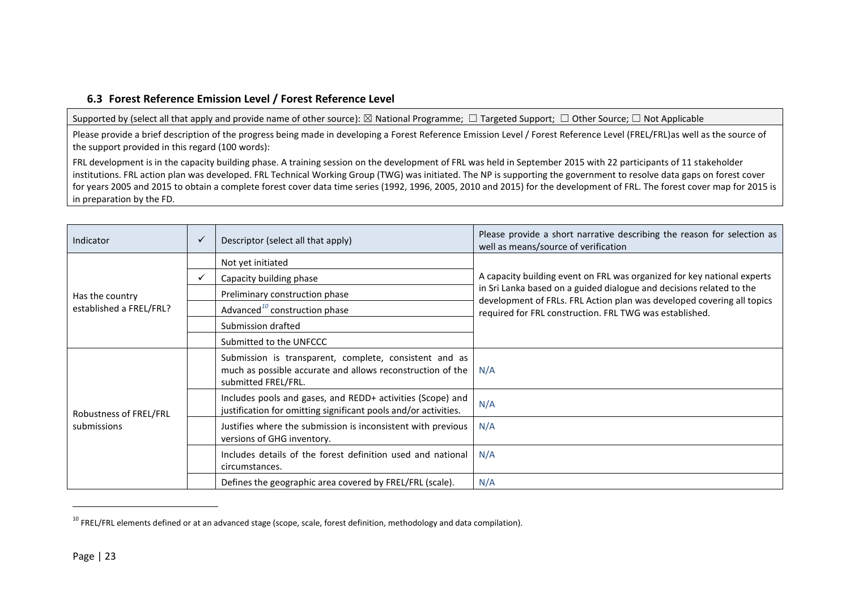# **6.3 Forest Reference Emission Level / Forest Reference Level**

Supported by (select all that apply and provide name of other source): ⊠ National Programme; □ Targeted Support; □ Other Source; □ Not Applicable

Please provide a brief description of the progress being made in developing a Forest Reference Emission Level / Forest Reference Level (FREL/FRL)as well as the source of the support provided in this regard (100 words):

FRL development is in the capacity building phase. A training session on the development of FRL was held in September 2015 with 22 participants of 11 stakeholder institutions. FRL action plan was developed. FRL Technical Working Group (TWG) was initiated. The NP is supporting the government to resolve data gaps on forest cover for years 2005 and 2015 to obtain a complete forest cover data time series (1992, 1996, 2005, 2010 and 2015) for the development of FRL. The forest cover map for 2015 is in preparation by the FD.

| Indicator                             | $\checkmark$ | Descriptor (select all that apply)                                                                                                          | Please provide a short narrative describing the reason for selection as<br>well as means/source of verification                                |
|---------------------------------------|--------------|---------------------------------------------------------------------------------------------------------------------------------------------|------------------------------------------------------------------------------------------------------------------------------------------------|
|                                       |              | Not yet initiated                                                                                                                           |                                                                                                                                                |
|                                       | ✓            | Capacity building phase                                                                                                                     | A capacity building event on FRL was organized for key national experts                                                                        |
| Has the country                       |              | Preliminary construction phase                                                                                                              | in Sri Lanka based on a guided dialogue and decisions related to the<br>development of FRLs. FRL Action plan was developed covering all topics |
| established a FREL/FRL?               |              | Advanced <sup>10</sup> construction phase                                                                                                   | required for FRL construction. FRL TWG was established.                                                                                        |
|                                       |              | Submission drafted                                                                                                                          |                                                                                                                                                |
|                                       |              | Submitted to the UNFCCC                                                                                                                     |                                                                                                                                                |
| Robustness of FREL/FRL<br>submissions |              | Submission is transparent, complete, consistent and as<br>much as possible accurate and allows reconstruction of the<br>submitted FREL/FRL. | N/A                                                                                                                                            |
|                                       |              | Includes pools and gases, and REDD+ activities (Scope) and<br>justification for omitting significant pools and/or activities.               | N/A                                                                                                                                            |
|                                       |              | Justifies where the submission is inconsistent with previous<br>versions of GHG inventory.                                                  | N/A                                                                                                                                            |
|                                       |              | Includes details of the forest definition used and national<br>circumstances.                                                               | N/A                                                                                                                                            |
|                                       |              | Defines the geographic area covered by FREL/FRL (scale).                                                                                    | N/A                                                                                                                                            |

<sup>&</sup>lt;sup>10</sup> FREL/FRL elements defined or at an advanced stage (scope, scale, forest definition, methodology and data compilation).

 $\overline{\phantom{a}}$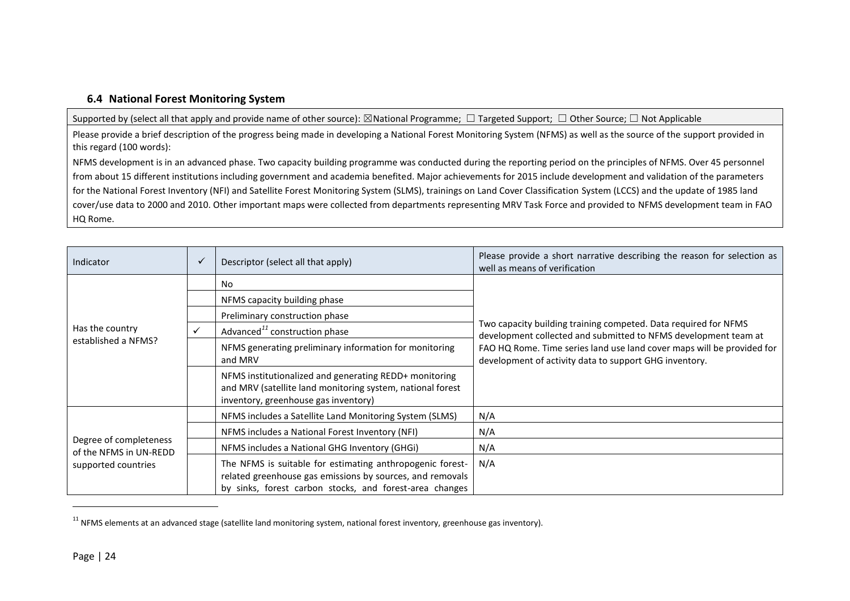### **6.4 National Forest Monitoring System**

Supported by (select all that apply and provide name of other source): ⊠National Programme; □ Targeted Support; □ Other Source; □ Not Applicable

Please provide a brief description of the progress being made in developing a National Forest Monitoring System (NFMS) as well as the source of the support provided in this regard (100 words):

NFMS development is in an advanced phase. Two capacity building programme was conducted during the reporting period on the principles of NFMS. Over 45 personnel from about 15 different institutions including government and academia benefited. Major achievements for 2015 include development and validation of the parameters for the National Forest Inventory (NFI) and Satellite Forest Monitoring System (SLMS), trainings on Land Cover Classification System (LCCS) and the update of 1985 land cover/use data to 2000 and 2010. Other important maps were collected from departments representing MRV Task Force and provided to NFMS development team in FAO HQ Rome.

| Indicator                                                               | $\checkmark$ | Descriptor (select all that apply)                                                                                                                                                | Please provide a short narrative describing the reason for selection as<br>well as means of verification                           |
|-------------------------------------------------------------------------|--------------|-----------------------------------------------------------------------------------------------------------------------------------------------------------------------------------|------------------------------------------------------------------------------------------------------------------------------------|
|                                                                         |              | No                                                                                                                                                                                |                                                                                                                                    |
|                                                                         |              | NFMS capacity building phase                                                                                                                                                      |                                                                                                                                    |
|                                                                         |              | Preliminary construction phase                                                                                                                                                    |                                                                                                                                    |
| Has the country                                                         | $\checkmark$ | Advanced <sup>11</sup> construction phase                                                                                                                                         | Two capacity building training competed. Data required for NFMS<br>development collected and submitted to NFMS development team at |
| established a NFMS?                                                     |              | NFMS generating preliminary information for monitoring<br>and MRV                                                                                                                 | FAO HQ Rome. Time series land use land cover maps will be provided for<br>development of activity data to support GHG inventory.   |
|                                                                         |              | NFMS institutionalized and generating REDD+ monitoring<br>and MRV (satellite land monitoring system, national forest<br>inventory, greenhouse gas inventory)                      |                                                                                                                                    |
|                                                                         |              | NFMS includes a Satellite Land Monitoring System (SLMS)                                                                                                                           | N/A                                                                                                                                |
| Degree of completeness<br>of the NFMS in UN-REDD<br>supported countries |              | NFMS includes a National Forest Inventory (NFI)                                                                                                                                   | N/A                                                                                                                                |
|                                                                         |              | NFMS includes a National GHG Inventory (GHGi)                                                                                                                                     | N/A                                                                                                                                |
|                                                                         |              | The NFMS is suitable for estimating anthropogenic forest-<br>related greenhouse gas emissions by sources, and removals<br>by sinks, forest carbon stocks, and forest-area changes | N/A                                                                                                                                |

 $11$  NFMS elements at an advanced stage (satellite land monitoring system, national forest inventory, greenhouse gas inventory).

 $\overline{\phantom{a}}$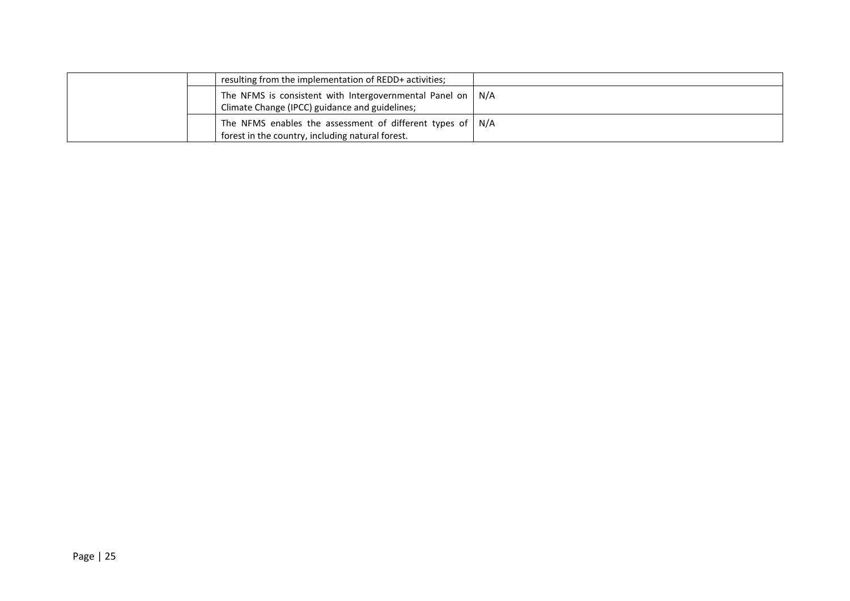|  | resulting from the implementation of REDD+ activities;                                                                       |  |
|--|------------------------------------------------------------------------------------------------------------------------------|--|
|  | The NFMS is consistent with Intergovernmental Panel on   N/A<br>Climate Change (IPCC) guidance and guidelines;               |  |
|  | The NFMS enables the assessment of different types of $\mid N/A \rangle$<br>forest in the country, including natural forest. |  |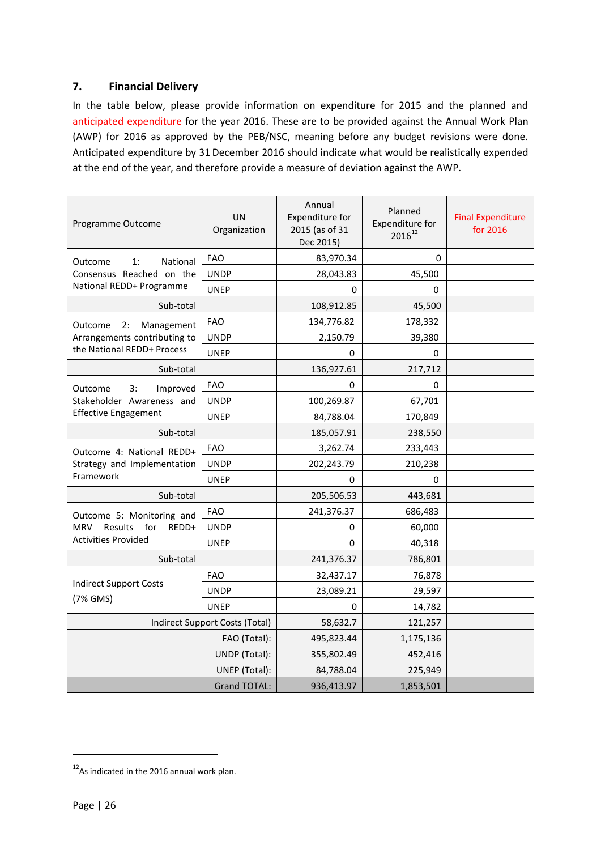# <span id="page-25-0"></span>**7. Financial Delivery**

In the table below, please provide information on expenditure for 2015 and the planned and anticipated expenditure for the year 2016. These are to be provided against the Annual Work Plan (AWP) for 2016 as approved by the PEB/NSC, meaning before any budget revisions were done. Anticipated expenditure by 31 December 2016 should indicate what would be realistically expended at the end of the year, and therefore provide a measure of deviation against the AWP.

| Programme Outcome                     | UN<br>Organization             | Annual<br>Expenditure for<br>2015 (as of 31<br>Dec 2015) | Planned<br><b>Expenditure for</b><br>$2016^{12}$ | <b>Final Expenditure</b><br>for 2016 |
|---------------------------------------|--------------------------------|----------------------------------------------------------|--------------------------------------------------|--------------------------------------|
| National<br>1:<br>Outcome             | <b>FAO</b>                     | 83,970.34                                                | 0                                                |                                      |
| Consensus Reached on the              | <b>UNDP</b>                    | 28,043.83                                                | 45,500                                           |                                      |
| National REDD+ Programme              | <b>UNEP</b>                    | 0                                                        | 0                                                |                                      |
| Sub-total                             |                                | 108,912.85                                               | 45,500                                           |                                      |
| Management<br>Outcome<br>2:           | <b>FAO</b>                     | 134,776.82                                               | 178,332                                          |                                      |
| Arrangements contributing to          | <b>UNDP</b>                    | 2,150.79                                                 | 39,380                                           |                                      |
| the National REDD+ Process            | <b>UNEP</b>                    | $\Omega$                                                 | 0                                                |                                      |
| Sub-total                             |                                | 136,927.61                                               | 217,712                                          |                                      |
| Improved<br>Outcome<br>3:             | <b>FAO</b>                     | 0                                                        | 0                                                |                                      |
| Stakeholder Awareness and             | <b>UNDP</b>                    | 100,269.87                                               | 67,701                                           |                                      |
| <b>Effective Engagement</b>           | <b>UNEP</b>                    | 84,788.04                                                | 170,849                                          |                                      |
| Sub-total                             |                                | 185,057.91                                               | 238,550                                          |                                      |
| Outcome 4: National REDD+             | <b>FAO</b>                     | 3,262.74                                                 | 233,443                                          |                                      |
| Strategy and Implementation           | <b>UNDP</b>                    | 202,243.79                                               | 210,238                                          |                                      |
| Framework                             | <b>UNEP</b>                    | $\Omega$                                                 | 0                                                |                                      |
| Sub-total                             |                                | 205,506.53                                               | 443,681                                          |                                      |
| Outcome 5: Monitoring and             | <b>FAO</b>                     | 241,376.37                                               | 686,483                                          |                                      |
| Results<br>for<br><b>MRV</b><br>REDD+ | <b>UNDP</b>                    | 0                                                        | 60,000                                           |                                      |
| <b>Activities Provided</b>            | <b>UNEP</b>                    | 0                                                        | 40,318                                           |                                      |
| Sub-total                             |                                | 241,376.37                                               | 786,801                                          |                                      |
|                                       | <b>FAO</b>                     | 32,437.17                                                | 76,878                                           |                                      |
| <b>Indirect Support Costs</b>         | <b>UNDP</b>                    | 23,089.21                                                | 29,597                                           |                                      |
| (7% GMS)                              | <b>UNEP</b>                    | 0                                                        | 14,782                                           |                                      |
|                                       | Indirect Support Costs (Total) | 58,632.7                                                 | 121,257                                          |                                      |
|                                       | FAO (Total):                   | 495,823.44                                               | 1,175,136                                        |                                      |
|                                       | UNDP (Total):                  | 355,802.49                                               | 452,416                                          |                                      |
|                                       | UNEP (Total):                  | 84,788.04                                                | 225,949                                          |                                      |
|                                       | 936,413.97                     | 1,853,501                                                |                                                  |                                      |

1

 $12$ As indicated in the 2016 annual work plan.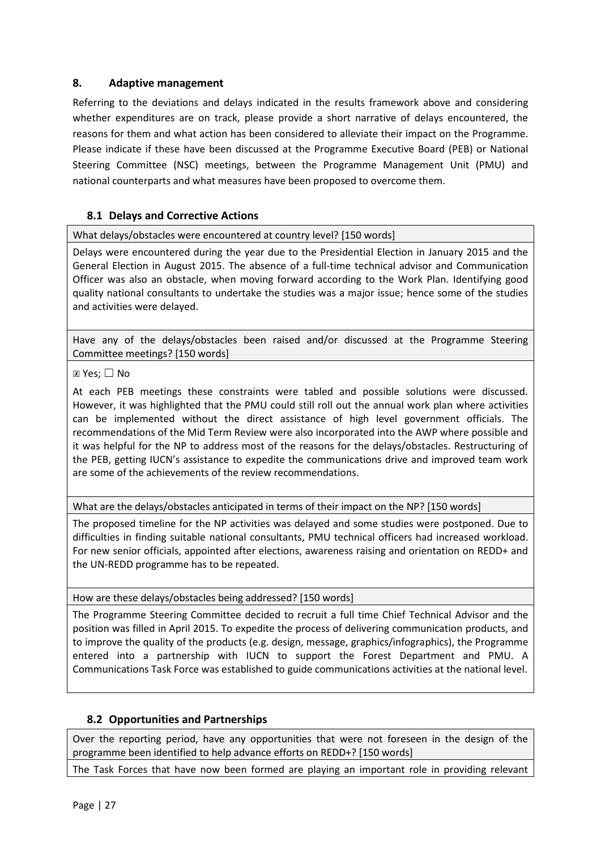# <span id="page-26-0"></span>**8. Adaptive management**

Referring to the deviations and delays indicated in the results framework above and considering whether expenditures are on track, please provide a short narrative of delays encountered, the reasons for them and what action has been considered to alleviate their impact on the Programme. Please indicate if these have been discussed at the Programme Executive Board (PEB) or National Steering Committee (NSC) meetings, between the Programme Management Unit (PMU) and national counterparts and what measures have been proposed to overcome them.

# **8.1 Delays and Corrective Actions**

What delays/obstacles were encountered at country level? [150 words]

Delays were encountered during the year due to the Presidential Election in January 2015 and the General Election in August 2015. The absence of a full-time technical advisor and Communication Officer was also an obstacle, when moving forward according to the Work Plan. Identifying good quality national consultants to undertake the studies was a major issue; hence some of the studies and activities were delayed.

Have any of the delays/obstacles been raised and/or discussed at the Programme Steering Committee meetings? [150 words]

## ☒ Yes; ☐ No

At each PEB meetings these constraints were tabled and possible solutions were discussed. However, it was highlighted that the PMU could still roll out the annual work plan where activities can be implemented without the direct assistance of high level government officials. The recommendations of the Mid Term Review were also incorporated into the AWP where possible and it was helpful for the NP to address most of the reasons for the delays/obstacles. Restructuring of the PEB, getting IUCN's assistance to expedite the communications drive and improved team work are some of the achievements of the review recommendations.

What are the delays/obstacles anticipated in terms of their impact on the NP? [150 words]

The proposed timeline for the NP activities was delayed and some studies were postponed. Due to difficulties in finding suitable national consultants, PMU technical officers had increased workload. For new senior officials, appointed after elections, awareness raising and orientation on REDD+ and the UN-REDD programme has to be repeated.

How are these delays/obstacles being addressed? [150 words]

The Programme Steering Committee decided to recruit a full time Chief Technical Advisor and the position was filled in April 2015. To expedite the process of delivering communication products, and to improve the quality of the products (e.g. design, message, graphics/infographics), the Programme entered into a partnership with IUCN to support the Forest Department and PMU. A Communications Task Force was established to guide communications activities at the national level.

# **8.2 Opportunities and Partnerships**

Over the reporting period, have any opportunities that were not foreseen in the design of the programme been identified to help advance efforts on REDD+? [150 words]

The Task Forces that have now been formed are playing an important role in providing relevant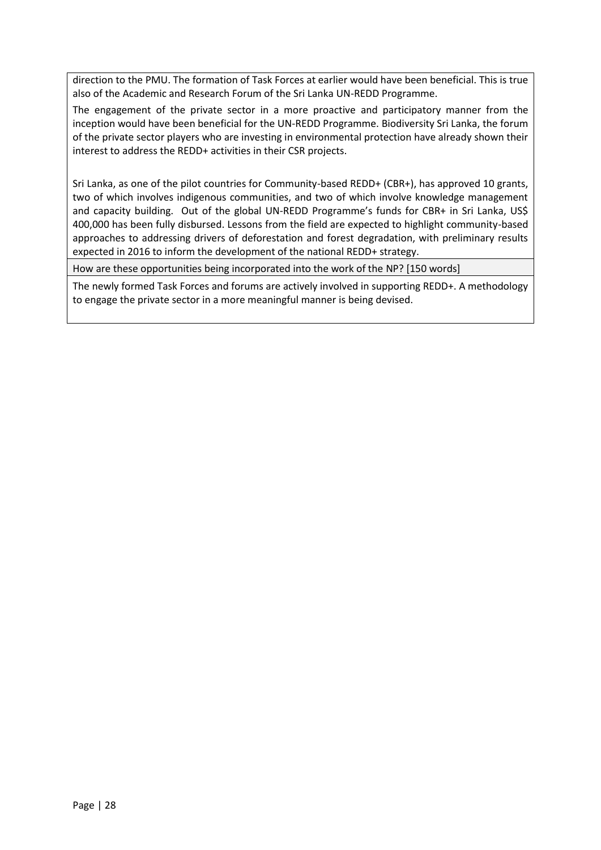direction to the PMU. The formation of Task Forces at earlier would have been beneficial. This is true also of the Academic and Research Forum of the Sri Lanka UN-REDD Programme.

The engagement of the private sector in a more proactive and participatory manner from the inception would have been beneficial for the UN-REDD Programme. Biodiversity Sri Lanka, the forum of the private sector players who are investing in environmental protection have already shown their interest to address the REDD+ activities in their CSR projects.

Sri Lanka, as one of the pilot countries for Community-based REDD+ (CBR+), has approved 10 grants, two of which involves indigenous communities, and two of which involve knowledge management and capacity building. Out of the global UN-REDD Programme's funds for CBR+ in Sri Lanka, US\$ 400,000 has been fully disbursed. Lessons from the field are expected to highlight community-based approaches to addressing drivers of deforestation and forest degradation, with preliminary results expected in 2016 to inform the development of the national REDD+ strategy.

How are these opportunities being incorporated into the work of the NP? [150 words]

The newly formed Task Forces and forums are actively involved in supporting REDD+. A methodology to engage the private sector in a more meaningful manner is being devised.